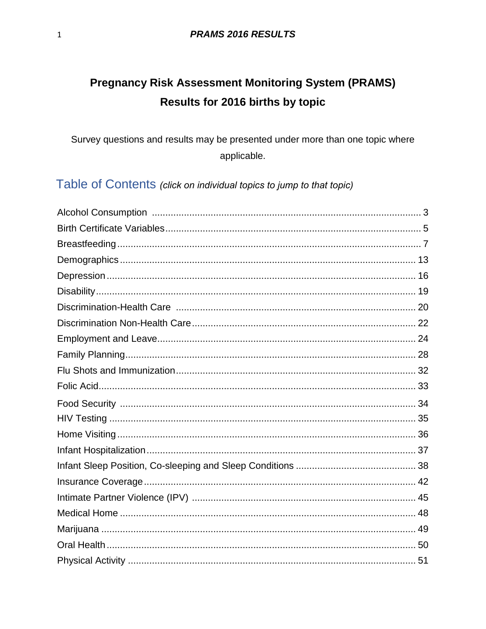# **Pregnancy Risk Assessment Monitoring System (PRAMS)** Results for 2016 births by topic

Survey questions and results may be presented under more than one topic where applicable.

Table of Contents (click on individual topics to jump to that topic)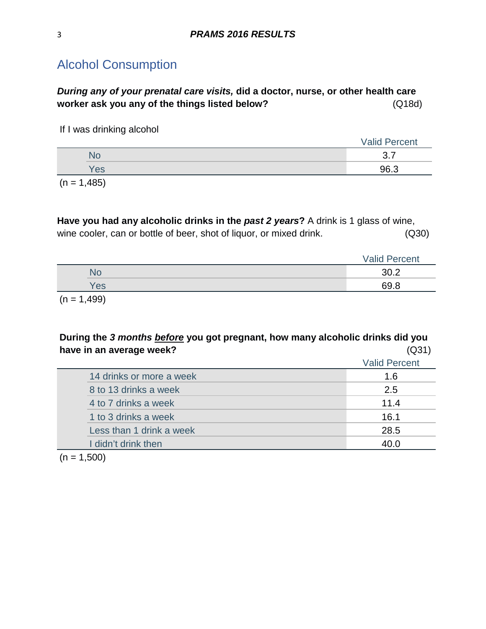## <span id="page-2-0"></span>Alcohol Consumption

*During any of your prenatal care visits,* **did a doctor, nurse, or other health care worker ask you any of the things listed below?** (Q18d)

If I was drinking alcohol

|                                                                                                                 |     | <b>Valid Percent</b> |
|-----------------------------------------------------------------------------------------------------------------|-----|----------------------|
|                                                                                                                 | No  | –<br>$\sim$<br>◡.    |
|                                                                                                                 | Yes | 96.3                 |
| the contract of the contract of the contract of the contract of the contract of the contract of the contract of |     |                      |

 $(n = 1,485)$ 

**Have you had any alcoholic drinks in the** *past 2 years***?** A drink is 1 glass of wine, wine cooler, can or bottle of beer, shot of liquor, or mixed drink. (Q30)

|                 | <b>Valid Percent</b> |
|-----------------|----------------------|
| 'NC             |                      |
| es <sup>/</sup> | 69.8                 |

 $(n = 1,499)$ 

### **During the** *3 months before* **you got pregnant, how many alcoholic drinks did you have in an average week?** (Q31)

|                          | <b>Valid Percent</b> |
|--------------------------|----------------------|
| 14 drinks or more a week | 1.6                  |
| 8 to 13 drinks a week    | 2.5                  |
| 4 to 7 drinks a week     | 11.4                 |
| 1 to 3 drinks a week     | 16.1                 |
| Less than 1 drink a week | 28.5                 |
| I didn't drink then      | 40.0                 |
|                          |                      |

 $(n = 1,500)$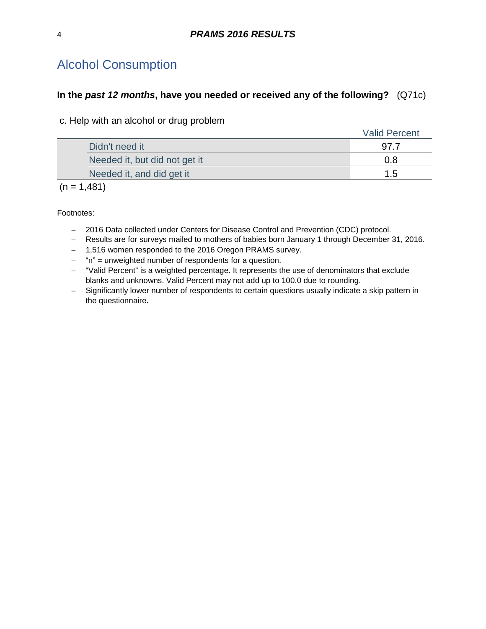## Alcohol Consumption

#### **In the** *past 12 months***, have you needed or received any of the following?** (Q71c)

c. Help with an alcohol or drug problem

|                               | <b>Valid Percent</b> |
|-------------------------------|----------------------|
| Didn't need it                |                      |
| Needed it, but did not get it | 0.8                  |
| Needed it, and did get it     | 1.5                  |

 $(n = 1,481)$ 

- − 2016 Data collected under Centers for Disease Control and Prevention (CDC) protocol.
- − Results are for surveys mailed to mothers of babies born January 1 through December 31, 2016.
- − 1,516 women responded to the 2016 Oregon PRAMS survey.
- − "n" = unweighted number of respondents for a question.
- − "Valid Percent" is a weighted percentage. It represents the use of denominators that exclude blanks and unknowns. Valid Percent may not add up to 100.0 due to rounding.
- − Significantly lower number of respondents to certain questions usually indicate a skip pattern in the questionnaire.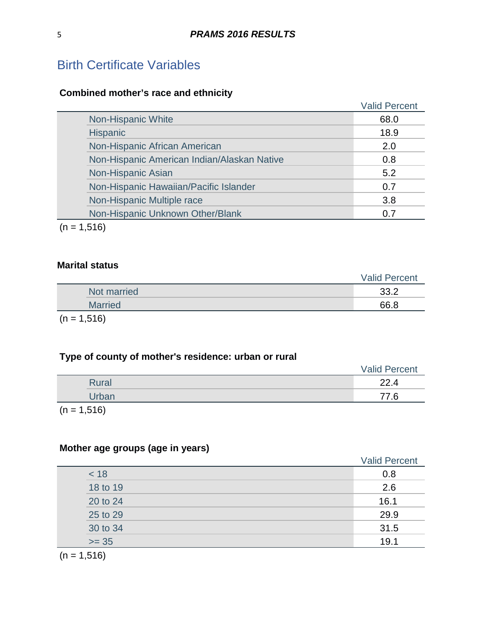# <span id="page-4-0"></span>Birth Certificate Variables

## **Combined mother's race and ethnicity**

|                 |                                             | <b>Valid Percent</b> |
|-----------------|---------------------------------------------|----------------------|
|                 | Non-Hispanic White                          | 68.0                 |
| <b>Hispanic</b> |                                             | 18.9                 |
|                 | Non-Hispanic African American               | 2.0                  |
|                 | Non-Hispanic American Indian/Alaskan Native | 0.8                  |
|                 | Non-Hispanic Asian                          | 5.2                  |
|                 | Non-Hispanic Hawaiian/Pacific Islander      | 0.7                  |
|                 | Non-Hispanic Multiple race                  | 3.8                  |
|                 | Non-Hispanic Unknown Other/Blank            | 0.7                  |

 $(n = 1,516)$ 

#### **Marital status**

|                          |                                    | <b>Valid Percent</b> |
|--------------------------|------------------------------------|----------------------|
|                          | Not married                        | 33.2                 |
|                          | <b>Married</b>                     | 66.8                 |
| $\overline{\phantom{a}}$ | $\sim$ $\sim$ $\sim$ $\sim$ $\sim$ |                      |

 $(n = 1,516)$ 

## **Type of county of mother's residence: urban or rural**

|              | <b>Valid Percent</b> |
|--------------|----------------------|
| <b>Rural</b> | 22.4                 |
| Urban        | 77.6                 |
| .            |                      |

 $(n = 1,516)$ 

## **Mother age groups (age in years)**

|          | <b>Valid Percent</b> |
|----------|----------------------|
| < 18     | 0.8                  |
| 18 to 19 | 2.6                  |
| 20 to 24 | 16.1                 |
| 25 to 29 | 29.9                 |
| 30 to 34 | 31.5                 |
| $>= 35$  | 19.1                 |
|          |                      |

 $(n = 1,516)$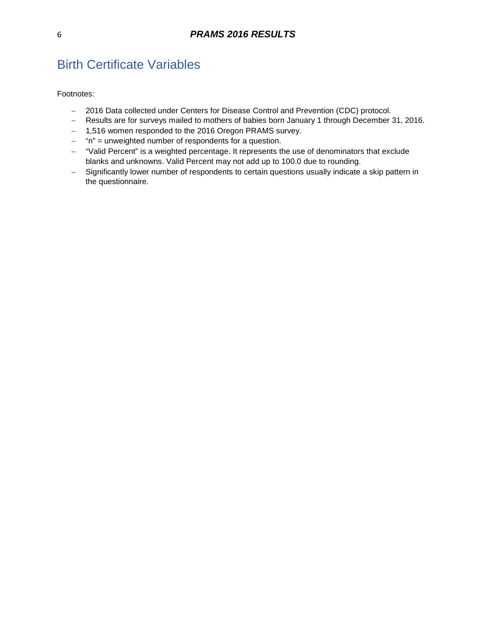# Birth Certificate Variables

- − 2016 Data collected under Centers for Disease Control and Prevention (CDC) protocol.
- − Results are for surveys mailed to mothers of babies born January 1 through December 31, 2016.
- − 1,516 women responded to the 2016 Oregon PRAMS survey.
- − "n" = unweighted number of respondents for a question.
- − "Valid Percent" is a weighted percentage. It represents the use of denominators that exclude blanks and unknowns. Valid Percent may not add up to 100.0 due to rounding.
- − Significantly lower number of respondents to certain questions usually indicate a skip pattern in the questionnaire.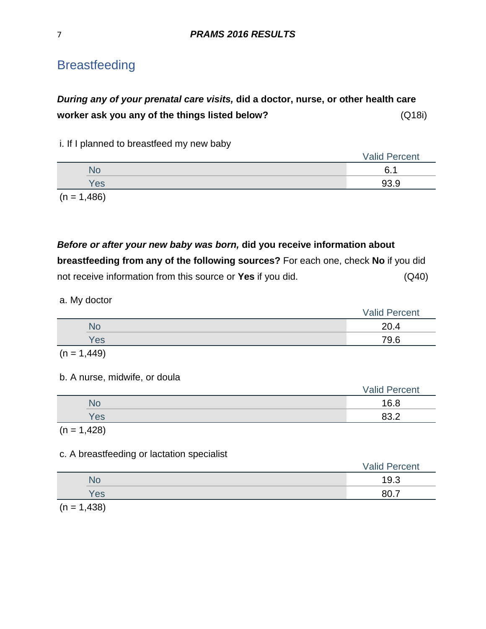## <span id="page-6-0"></span>*During any of your prenatal care visits,* **did a doctor, nurse, or other health care worker ask you any of the things listed below?** (Q18i)

#### i. If I planned to breastfeed my new baby

|                          |                                           | <b>Valid Percent</b> |
|--------------------------|-------------------------------------------|----------------------|
|                          | NС                                        | $\epsilon$<br>A      |
|                          | Yes                                       | 93.9                 |
| $\overline{\phantom{a}}$ | $\sim$ $\sim$ $\sim$ $\sim$ $\sim$ $\sim$ |                      |

 $(n = 1,486)$ 

*Before or after your new baby was born,* **did you receive information about breastfeeding from any of the following sources?** For each one, check **No** if you did not receive information from this source or **Yes** if you did. (Q40)

#### a. My doctor

|     | <b>Valid Percent</b> |
|-----|----------------------|
| No  | 20.4                 |
| Yes | 79.6                 |
|     |                      |

$$
(n = 1,449)
$$

#### b. A nurse, midwife, or doula

|     | <b>Valid Percent</b> |
|-----|----------------------|
| No  | 16.8                 |
| Yes | 83.2                 |

 $(n = 1,428)$ 

#### c. A breastfeeding or lactation specialist

|     | <b>Valid Percent</b> |
|-----|----------------------|
| NC  | 19.3                 |
| Yes |                      |
|     |                      |

 $(n = 1,438)$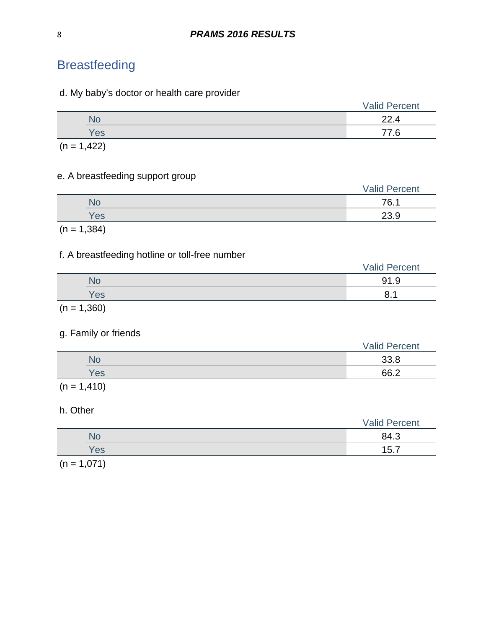#### d. My baby's doctor or health care provider

|     | <b>Valid Percent</b> |
|-----|----------------------|
|     | 22.4                 |
| Yes | 77                   |
|     |                      |

 $(n = 1, 422)$ 

### e. A breastfeeding support group

|               | <b>Valid Percent</b> |
|---------------|----------------------|
| <b>No</b>     | 76.1                 |
| <b>Yes</b>    | 23.9                 |
| $(n = 1,384)$ |                      |

#### f. A breastfeeding hotline or toll-free number

|            | <b>Valid Percent</b>  |
|------------|-----------------------|
| No         | 91.9                  |
| Yes        | o<br>и<br>$\cdot$ ) . |
| $\sqrt{2}$ |                       |

 $(n = 1,360)$ 

#### g. Family or friends

|               | <b>Valid Percent</b> |
|---------------|----------------------|
| <b>No</b>     | 33.8                 |
| <b>Yes</b>    | 66.2                 |
| $(n = 1,410)$ |                      |

### h. Other

| $\sim$ $\sim$ $\sim$ $\sim$<br>$\overline{\phantom{a}}$ |                      |
|---------------------------------------------------------|----------------------|
| Yes                                                     | 15.7                 |
| <b>No</b>                                               | 84.3                 |
|                                                         | <b>Valid Percent</b> |

 $(n = 1,071)$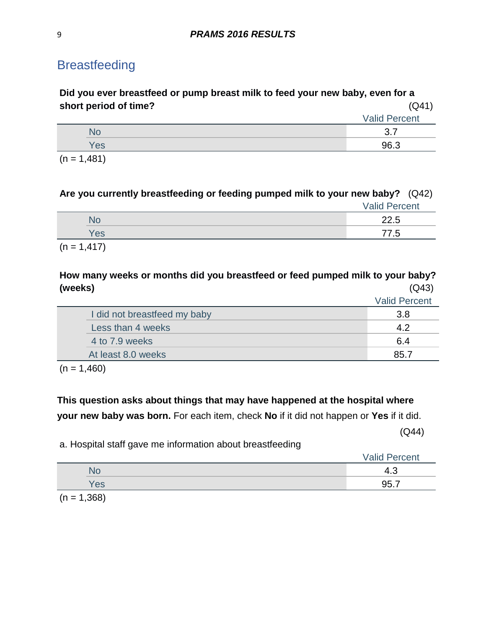**Did you ever breastfeed or pump breast milk to feed your new baby, even for a short period of time?** (Q41)

|                         | <b>Valid Percent</b> |
|-------------------------|----------------------|
|                         | –<br>ົ<br>ີ          |
| Yes                     | 96.3                 |
| $\sqrt{2}$ $\sqrt{404}$ |                      |

 $(n = 1,481)$ 

## **Are you currently breastfeeding or feeding pumped milk to your new baby?** (Q42)

|        |                               | <b>Valid Percent</b> |
|--------|-------------------------------|----------------------|
|        | <b>No</b>                     | 22.5                 |
|        | Yes                           | 77.5                 |
| $\sim$ | $\overline{A}$ $\overline{A}$ |                      |

 $(n = 1, 417)$ 

### **How many weeks or months did you breastfeed or feed pumped milk to your baby? (weeks)** (Q43)

Valid Percent

| I did not breastfeed my baby |      |
|------------------------------|------|
| Less than 4 weeks            |      |
| 4 to 7.9 weeks               | 6.4  |
| At least 8.0 weeks           | 85 J |

 $(n = 1,460)$ 

## **This question asks about things that may have happened at the hospital where your new baby was born.** For each item, check **No** if it did not happen or **Yes** if it did.

(Q44)

a. Hospital staff gave me information about breastfeeding

|     | . <i>.</i><br>rcent<br>Valic    |
|-----|---------------------------------|
| NC  | $\overline{\phantom{0}}$<br>ن.4 |
| Yes | 95                              |
|     |                                 |

 $(n = 1,368)$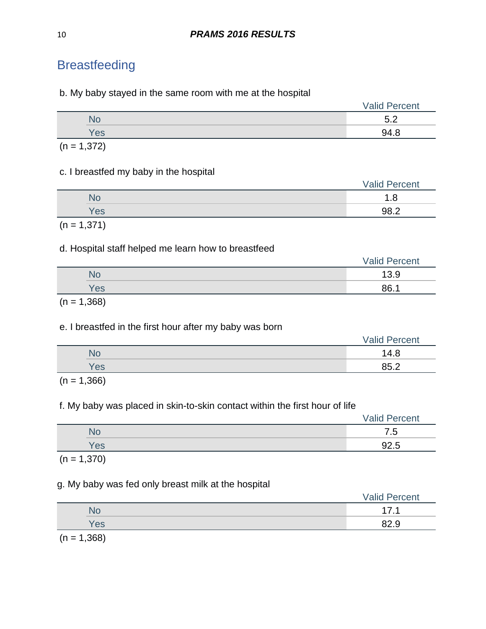b. My baby stayed in the same room with me at the hospital

|            | <b>Valid Percent</b>           |
|------------|--------------------------------|
| <b>No</b>  | 50<br>$\overline{\phantom{a}}$ |
| <b>Yes</b> | 94.8                           |

 $(n = 1,372)$ 

### c. I breastfed my baby in the hospital

|     | <b>Valid Percent</b> |
|-----|----------------------|
| Nο  | o<br>~               |
| Yes | ററ റ                 |

 $(n = 1,371)$ 

### d. Hospital staff helped me learn how to breastfeed

|     | <b>Valid Percent</b> |
|-----|----------------------|
| No  | 12 O<br>ు.⊍          |
| Yes | 86.7                 |
|     |                      |

 $(n = 1,368)$ 

### e. I breastfed in the first hour after my baby was born

|     | <b>Valid Percent</b> |
|-----|----------------------|
| No  | 14.8                 |
| Yes | 950<br>⊾.ں           |

 $(n = 1,366)$ 

## f. My baby was placed in skin-to-skin contact within the first hour of life

|     | <b>Valid Percent</b> |
|-----|----------------------|
| ıС  | -<br>∽<br>ن.         |
| Yes | ◡-.◡                 |

 $(n = 1,370)$ 

### g. My baby was fed only breast milk at the hospital

|                          |     | <b>Valid Percent</b> |
|--------------------------|-----|----------------------|
|                          | NO  |                      |
|                          | Yes | ററ റ<br>02.J         |
| $\overline{\phantom{a}}$ | .   |                      |

 $(n = 1,368)$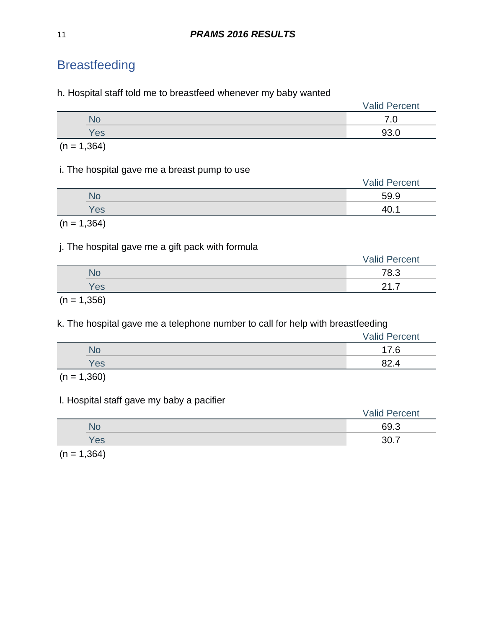h. Hospital staff told me to breastfeed whenever my baby wanted

|     | <b>Valid Percent</b> |  |
|-----|----------------------|--|
| 10  | .v                   |  |
| Yes | ר ה                  |  |

 $(n = 1,364)$ 

#### i. The hospital gave me a breast pump to use

|           | <b>Valid Percent</b> |
|-----------|----------------------|
| <b>No</b> | 59.9                 |
| Yes       |                      |

 $(n = 1,364)$ 

## j. The hospital gave me a gift pack with formula

|                                                                                                                 |     | <b>Valid Percent</b> |
|-----------------------------------------------------------------------------------------------------------------|-----|----------------------|
|                                                                                                                 |     | 78.3                 |
|                                                                                                                 | Yes | -<br>ົາ              |
| the contract of the contract of the contract of the contract of the contract of the contract of the contract of |     |                      |

 $(n = 1,356)$ 

k. The hospital gave me a telephone number to call for help with breastfeeding

|     | <b>Valid Percent</b> |
|-----|----------------------|
| NС  | 17.6                 |
| Yes |                      |
|     |                      |

 $(n = 1,360)$ 

### l. Hospital staff gave my baby a pacifier

|                          |                                    | <b>Valid Percent</b> |
|--------------------------|------------------------------------|----------------------|
|                          |                                    | 69.3                 |
|                          | Yes                                | 30.3<br>⇁            |
| $\overline{\phantom{a}}$ | $\sim$ $\sim$ $\sim$ $\sim$ $\sim$ |                      |

 $(n = 1,364)$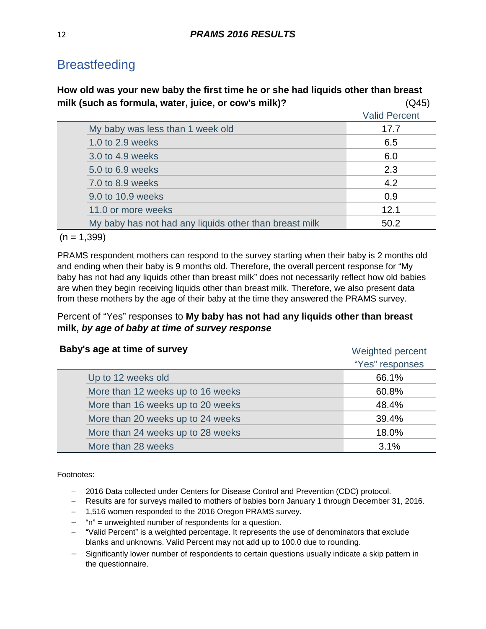**How old was your new baby the first time he or she had liquids other than breast milk (such as formula, water, juice, or cow's milk)?** (Q45)

|                                                        | <b>Valid Percent</b> |
|--------------------------------------------------------|----------------------|
| My baby was less than 1 week old                       | 17.7                 |
| 1.0 to 2.9 weeks                                       | 6.5                  |
| 3.0 to 4.9 weeks                                       | 6.0                  |
| 5.0 to 6.9 weeks                                       | 2.3                  |
| 7.0 to 8.9 weeks                                       | 4.2                  |
| 9.0 to 10.9 weeks                                      | 0.9                  |
| 11.0 or more weeks                                     | 12.1                 |
| My baby has not had any liquids other than breast milk | 50.2                 |
|                                                        |                      |

#### $(n = 1,399)$

PRAMS respondent mothers can respond to the survey starting when their baby is 2 months old and ending when their baby is 9 months old. Therefore, the overall percent response for "My baby has not had any liquids other than breast milk" does not necessarily reflect how old babies are when they begin receiving liquids other than breast milk. Therefore, we also present data from these mothers by the age of their baby at the time they answered the PRAMS survey.

#### Percent of "Yes" responses to **My baby has not had any liquids other than breast milk,** *by age of baby at time of survey response*

| Baby's age at time of survey      | Weighted percent |
|-----------------------------------|------------------|
|                                   | "Yes" responses  |
| Up to 12 weeks old                | 66.1%            |
| More than 12 weeks up to 16 weeks | 60.8%            |
| More than 16 weeks up to 20 weeks | 48.4%            |
| More than 20 weeks up to 24 weeks | 39.4%            |
| More than 24 weeks up to 28 weeks | 18.0%            |
| More than 28 weeks                | 3.1%             |

- − 2016 Data collected under Centers for Disease Control and Prevention (CDC) protocol.
- − Results are for surveys mailed to mothers of babies born January 1 through December 31, 2016.
- − 1,516 women responded to the 2016 Oregon PRAMS survey.
- − "n" = unweighted number of respondents for a question.
- − "Valid Percent" is a weighted percentage. It represents the use of denominators that exclude blanks and unknowns. Valid Percent may not add up to 100.0 due to rounding.
- − Significantly lower number of respondents to certain questions usually indicate a skip pattern in the questionnaire.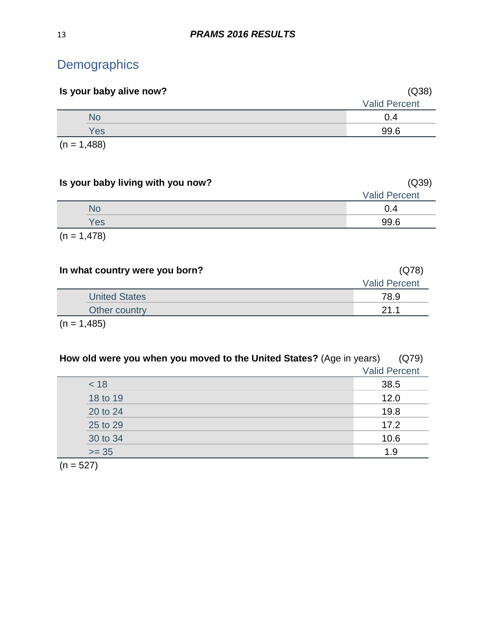# <span id="page-12-0"></span>**Demographics**

| Is your baby alive now? | (Q38)                |
|-------------------------|----------------------|
|                         | <b>Valid Percent</b> |
| <b>No</b>               | 0.4                  |
| Yes                     | 99.6                 |
| $(n = 1,488)$           |                      |

**Is your baby living with you now?** (Q39) Valid Percent No the contract of the contract of the contract of the contract of the contract of the contract of the contract of the contract of the contract of the contract of the contract of the contract of the contract of the contrac Yes 99.6  $(n = 1,478)$ 

| In what country were you born? | (Q78)                |
|--------------------------------|----------------------|
|                                | <b>Valid Percent</b> |
| <b>United States</b>           | 78.9                 |
| Other country                  | 21.1                 |
| $(n = 1,485)$                  |                      |

| How old were you when you moved to the United States? (Age in years) | (Q79)                |
|----------------------------------------------------------------------|----------------------|
|                                                                      | <b>Valid Percent</b> |
| < 18                                                                 | 38.5                 |
| 18 to 19                                                             | 12.0                 |
| 20 to 24                                                             | 19.8                 |
| 25 to 29                                                             | 17.2                 |
| 30 to 34                                                             | 10.6                 |
| $>= 35$                                                              | 1.9                  |

 $(n = 527)$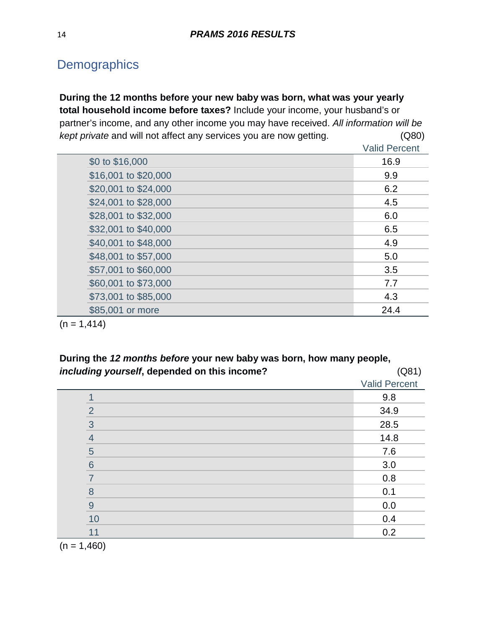# **Demographics**

**During the 12 months before your new baby was born, what was your yearly total household income before taxes?** Include your income, your husband's or partner's income, and any other income you may have received. *All information will be kept private* and will not affect any services you are now getting. (Q80) Valid Percent

|                      | <b>Valid Percent</b> |
|----------------------|----------------------|
| \$0 to \$16,000      | 16.9                 |
| \$16,001 to \$20,000 | 9.9                  |
| \$20,001 to \$24,000 | 6.2                  |
| \$24,001 to \$28,000 | 4.5                  |
| \$28,001 to \$32,000 | 6.0                  |
| \$32,001 to \$40,000 | 6.5                  |
| \$40,001 to \$48,000 | 4.9                  |
| \$48,001 to \$57,000 | 5.0                  |
| \$57,001 to \$60,000 | 3.5                  |
| \$60,001 to \$73,000 | 7.7                  |
| \$73,001 to \$85,000 | 4.3                  |
| \$85,001 or more     | 24.4                 |
|                      |                      |

 $(n = 1, 414)$ 

**During the** *12 months before* **your new baby was born, how many people,**  *including yourself***, depended on this income?** (Q81)

| - ייני ייני של ה | $\sqrt{1}$           |
|------------------|----------------------|
|                  | <b>Valid Percent</b> |
|                  | 9.8                  |
| $\overline{2}$   | 34.9                 |
| 3                | 28.5                 |
| $\overline{4}$   | 14.8                 |
| 5                | 7.6                  |
| $6\phantom{1}6$  | 3.0                  |
| $\overline{7}$   | 0.8                  |
| 8                | 0.1                  |
| $\overline{9}$   | 0.0                  |
| 10               | 0.4                  |
| 11               | 0.2                  |
| .                |                      |

 $(n = 1,460)$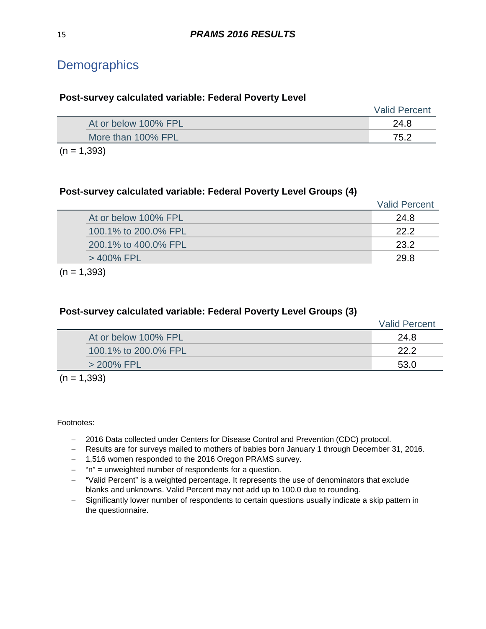# **Demographics**

|                      | <b>Valid Percent</b> |
|----------------------|----------------------|
| At or below 100% FPL | 24.8                 |
| More than 100% FPL   | 75.2                 |
| $(n = 1,393)$        |                      |

#### **Post-survey calculated variable: Federal Poverty Level Groups (4)**

**Post-survey calculated variable: Federal Poverty Level**

|                      | <b>Valid Percent</b> |
|----------------------|----------------------|
| At or below 100% FPL | 24.8                 |
| 100.1% to 200.0% FPL | 22.2                 |
| 200.1% to 400.0% FPL | 23.2                 |
| $>$ 400% FPL         | 29.8                 |
|                      |                      |

 $(n = 1,393)$ 

#### **Post-survey calculated variable: Federal Poverty Level Groups (3)**

|                      | <b>Valid Percent</b> |
|----------------------|----------------------|
| At or below 100% FPL | 24.8                 |
| 100.1% to 200.0% FPL | 22.2                 |
| $>$ 200% FPL         | よる ひ                 |
|                      |                      |

 $(n = 1,393)$ 

- − 2016 Data collected under Centers for Disease Control and Prevention (CDC) protocol.
- − Results are for surveys mailed to mothers of babies born January 1 through December 31, 2016.
- − 1,516 women responded to the 2016 Oregon PRAMS survey.
- − "n" = unweighted number of respondents for a question.
- − "Valid Percent" is a weighted percentage. It represents the use of denominators that exclude blanks and unknowns. Valid Percent may not add up to 100.0 due to rounding.
- − Significantly lower number of respondents to certain questions usually indicate a skip pattern in the questionnaire.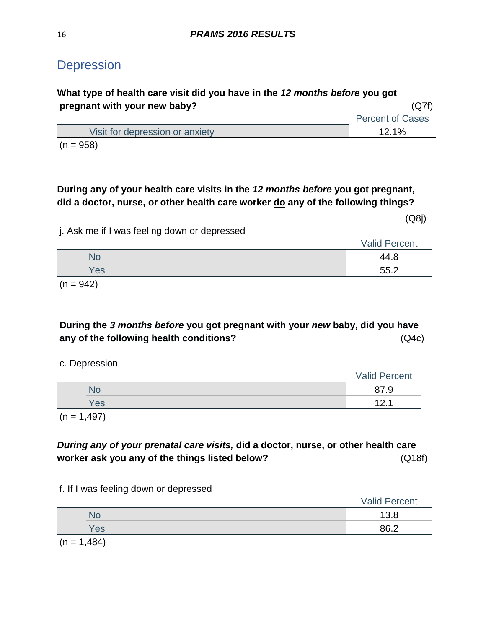## <span id="page-15-0"></span>**Depression**

## **What type of health care visit did you have in the** *12 months before* **you got pregnant with your new baby?** (Q7f) Percent of Cases Visit for depression or anxiety 12.1% 12.1%  $(n = 958)$

## **During any of your health care visits in the** *12 months before* **you got pregnant, did a doctor, nurse, or other health care worker do any of the following things?**

(Q8j)

j. Ask me if I was feeling down or depressed

|               | <b>Valid Percent</b> |
|---------------|----------------------|
| NC            | 44.8                 |
| Yes           | 55.2                 |
| $\sim$ $\sim$ |                      |

 $(n = 942)$ 

## **During the** *3 months before* **you got pregnant with your** *new* **baby, did you have any of the following health conditions?** (Q4c)

|  | c. Depression |
|--|---------------|
|  |               |

|            | <b>Valid Percent</b> |
|------------|----------------------|
| No         | 87.9                 |
| Yes        | 101<br>14.I          |
| $\sqrt{2}$ |                      |

 $(n = 1,497)$ 

*During any of your prenatal care visits,* **did a doctor, nurse, or other health care worker ask you any of the things listed below?** (Q18f)

f. If I was feeling down or depressed

|        |          | <b>Valid Percent</b> |
|--------|----------|----------------------|
|        |          | 13.8                 |
|        | Yes      | 86.2                 |
| $\sim$ | $\cdots$ |                      |

 $(n = 1,484)$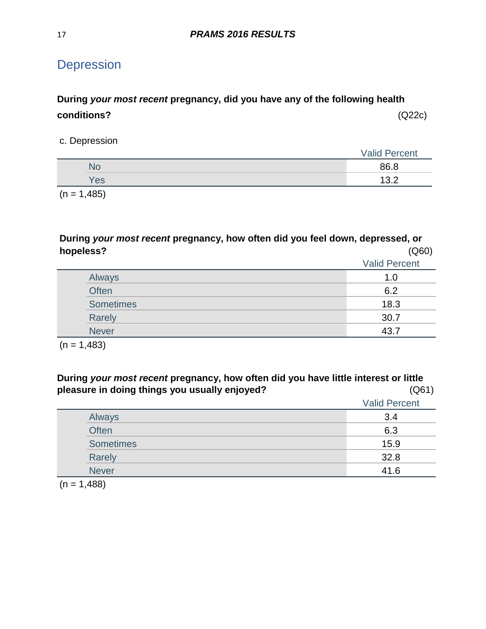# **Depression**

## **During** *your most recent* **pregnancy, did you have any of the following health conditions?** (Q22c)

c. Depression

|     | <b>Valid Percent</b> |
|-----|----------------------|
| NO  | 86.8                 |
| Yes | 13.2                 |
|     |                      |

 $(n = 1,485)$ 

**During** *your most recent* **pregnancy, how often did you feel down, depressed, or hopeless?** (Q60)

|                  | <b>Valid Percent</b> |
|------------------|----------------------|
| Always           | 1.0                  |
| <b>Often</b>     | 6.2                  |
| <b>Sometimes</b> | 18.3                 |
| Rarely           | 30.7                 |
| <b>Never</b>     | 43.7                 |

 $(n = 1,483)$ 

**During** *your most recent* **pregnancy, how often did you have little interest or little**  pleasure in doing things you usually enjoyed?

|                  | <b>Valid Percent</b> |
|------------------|----------------------|
| Always           | 3.4                  |
| Often            | 6.3                  |
| <b>Sometimes</b> | 15.9                 |
| Rarely           | 32.8                 |
| <b>Never</b>     | 41.6                 |

 $(n = 1,488)$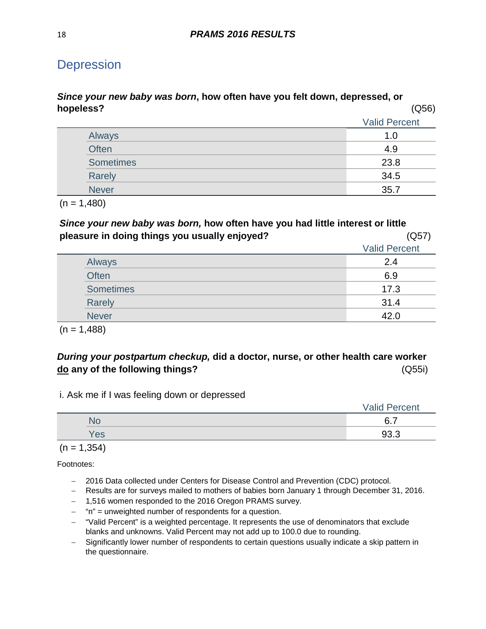## **Depression**

#### *Since your new baby was born***, how often have you felt down, depressed, or hopeless?** (Q56)

|                  | <b>Valid Percent</b> |
|------------------|----------------------|
| Always           | 1.0                  |
| <b>Often</b>     | 4.9                  |
| <b>Sometimes</b> | 23.8                 |
| Rarely           | 34.5                 |
| <b>Never</b>     | 35.7                 |

 $(n = 1,480)$ 

*Since your new baby was born,* **how often have you had little interest or little pleasure in doing things you usually enjoyed?** (Q57)

|  |                  | <b>Valid Percent</b> |
|--|------------------|----------------------|
|  | Always           | 2.4                  |
|  | <b>Often</b>     | 6.9                  |
|  | <b>Sometimes</b> | 17.3                 |
|  | Rarely           | 31.4                 |
|  | <b>Never</b>     | 42 N                 |

 $(n = 1,488)$ 

## *During your postpartum checkup,* **did a doctor, nurse, or other health care worker do any of the following things?** (Q55i)

i. Ask me if I was feeling down or depressed

|     | <b>Valid Percent</b> |
|-----|----------------------|
| ЧU  | 6.7                  |
| Yes | റാ ാ<br>ყა.ა         |

 $(n = 1, 354)$ 

- − 2016 Data collected under Centers for Disease Control and Prevention (CDC) protocol.
- − Results are for surveys mailed to mothers of babies born January 1 through December 31, 2016.
- − 1,516 women responded to the 2016 Oregon PRAMS survey.
- − "n" = unweighted number of respondents for a question.
- − "Valid Percent" is a weighted percentage. It represents the use of denominators that exclude blanks and unknowns. Valid Percent may not add up to 100.0 due to rounding.
- − Significantly lower number of respondents to certain questions usually indicate a skip pattern in the questionnaire.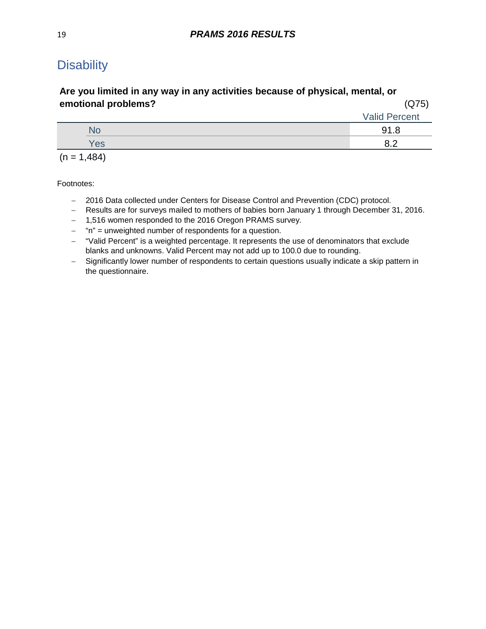## <span id="page-18-0"></span>**Disability**

### **Are you limited in any way in any activities because of physical, mental, or emotional problems?** (Q75)

|               | <b>Valid Percent</b> |
|---------------|----------------------|
| NO            | 91.8                 |
| Yes           | ຂ າ                  |
| $(n = 1,484)$ |                      |

- − 2016 Data collected under Centers for Disease Control and Prevention (CDC) protocol.
- − Results are for surveys mailed to mothers of babies born January 1 through December 31, 2016.
- − 1,516 women responded to the 2016 Oregon PRAMS survey.
- − "n" = unweighted number of respondents for a question.
- − "Valid Percent" is a weighted percentage. It represents the use of denominators that exclude blanks and unknowns. Valid Percent may not add up to 100.0 due to rounding.
- − Significantly lower number of respondents to certain questions usually indicate a skip pattern in the questionnaire.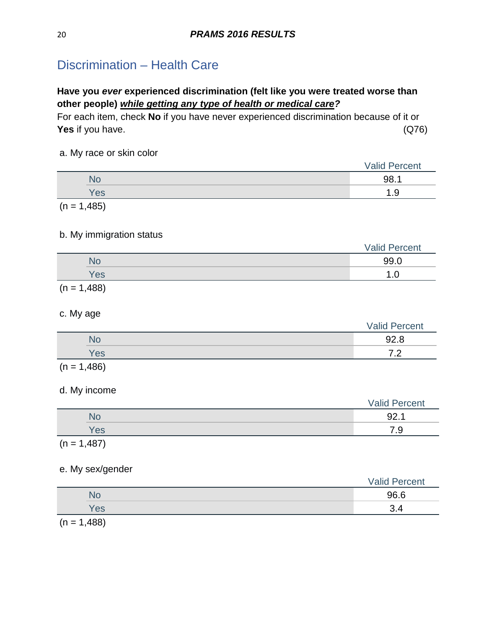## <span id="page-19-0"></span>Discrimination – Health Care

## **Have you** *ever* **experienced discrimination (felt like you were treated worse than other people)** *while getting any type of health or medical care?*

For each item, check **No** if you have never experienced discrimination because of it or **Yes** if you have. (Q76)

#### a. My race or skin color

|               | <b>Valid Percent</b> |
|---------------|----------------------|
| No            | 98.1                 |
| Yes           | 1.9                  |
| $(n = 1,485)$ |                      |

#### b. My immigration status

|                | <b>Valid Percent</b> |
|----------------|----------------------|
| NO             | 99.0                 |
| Yes            | .                    |
| $\overline{1}$ |                      |

 $(n = 1,488)$ 

#### c. My age

|     | <b>Valid Percent</b>            |
|-----|---------------------------------|
|     | 92.8                            |
| Yes | ¬ ∩<br>$\overline{\phantom{0}}$ |
|     |                                 |

 $(n = 1,486)$ 

#### d. My income

|               | <b>Valid Percent</b> |
|---------------|----------------------|
| No            | 92.1                 |
| Yes           | 7.9                  |
| $(n = 1,487)$ |                      |

### e. My sex/gender

|               | <b>Valid Percent</b> |
|---------------|----------------------|
| No            | 96.6                 |
| <b>Yes</b>    | ⌒                    |
| $(n - 1 A88)$ |                      |

 $(n = 1,488)$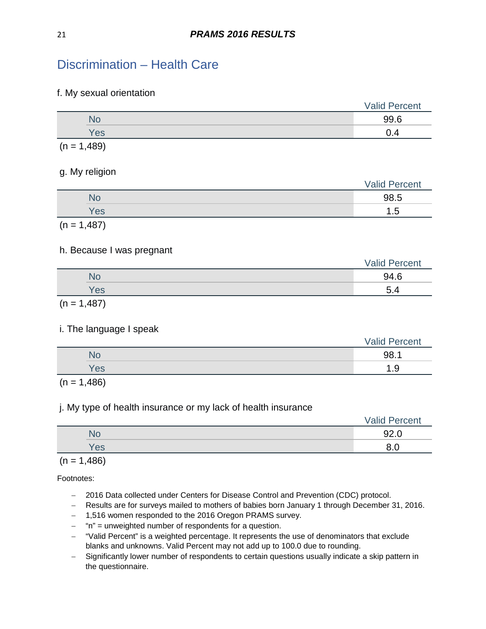## Discrimination – Health Care

#### f. My sexual orientation

|        |          | <b>Valid Percent</b> |
|--------|----------|----------------------|
|        | No       | 99.6                 |
|        | Yes      | 0.4                  |
| $\sim$ | $\cdots$ |                      |

 $(n = 1,489)$ 

#### g. My religion

| $\sim$<br>$\sim$ | <b>Valid Percent</b> |
|------------------|----------------------|
| <b>No</b>        | 98.5                 |
| Yes              | Б                    |
|                  |                      |

 $(n = 1,487)$ 

#### h. Because I was pregnant

|     | <b>Valid Percent</b> |
|-----|----------------------|
| N٥  | 94.6                 |
| Yes | 5.4                  |
|     |                      |

 $(n = 1,487)$ 

#### i. The language I speak

|     | <b>Valid Percent</b> |
|-----|----------------------|
| ЧU  | 98.1                 |
| Yes | Q<br>- 14            |

 $(n = 1,486)$ 

#### j. My type of health insurance or my lack of health insurance

|           | <b>Valid Percent</b> |
|-----------|----------------------|
| <b>No</b> | 92.0                 |
| Yes       | O                    |

 $(n = 1,486)$ 

- − 2016 Data collected under Centers for Disease Control and Prevention (CDC) protocol.
- − Results are for surveys mailed to mothers of babies born January 1 through December 31, 2016.
- − 1,516 women responded to the 2016 Oregon PRAMS survey.
- − "n" = unweighted number of respondents for a question.
- − "Valid Percent" is a weighted percentage. It represents the use of denominators that exclude blanks and unknowns. Valid Percent may not add up to 100.0 due to rounding.
- − Significantly lower number of respondents to certain questions usually indicate a skip pattern in the questionnaire.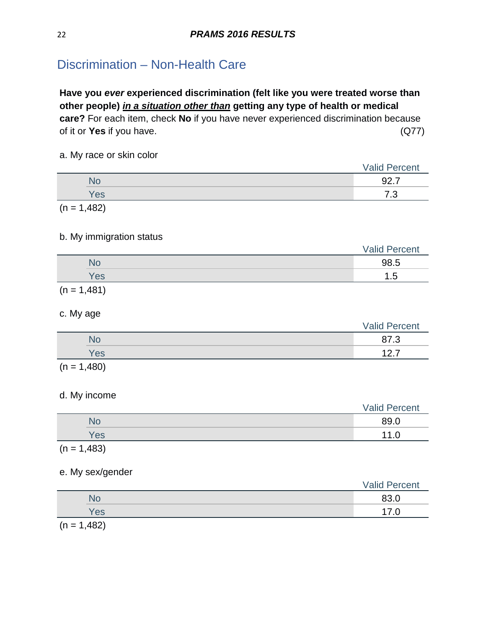## <span id="page-21-0"></span>Discrimination – Non-Health Care

**Have you** *ever* **experienced discrimination (felt like you were treated worse than other people)** *in a situation other than* **getting any type of health or medical care?** For each item, check **No** if you have never experienced discrimination because of it or **Yes** if you have. (Q77)

#### a. My race or skin color

|               | <b>Valid Percent</b> |
|---------------|----------------------|
| <b>No</b>     | 92.7                 |
| Yes           | 7.3                  |
| $(n = 1,482)$ |                      |

#### b. My immigration status

|     | <b>Valid Percent</b> |
|-----|----------------------|
|     | 98.5                 |
| Yes | ں. ا                 |
|     |                      |

 $(n = 1,481)$ 

#### c. My age

|        |     | <b>Valid Percent</b> |
|--------|-----|----------------------|
|        | No  | ~-<br>- 0            |
|        | Yes | 1つ フ                 |
| $\sim$ | .   |                      |

 $(n = 1,480)$ 

#### d. My income

|                       |     | <b>Valid Percent</b> |
|-----------------------|-----|----------------------|
|                       | No  | 89.0                 |
|                       | Yes | 11 $\cap$<br>1.U     |
| $\sqrt{1}$ $\sqrt{2}$ |     |                      |

 $(n = 1,483)$ 

#### e. My sex/gender

|        |                                              | <b>Valid Percent</b> |
|--------|----------------------------------------------|----------------------|
|        | NO                                           | 83.0                 |
|        | Yes                                          |                      |
| $\sim$ | $\overline{A}$ $\overline{A}$ $\overline{O}$ |                      |

 $(n = 1,482)$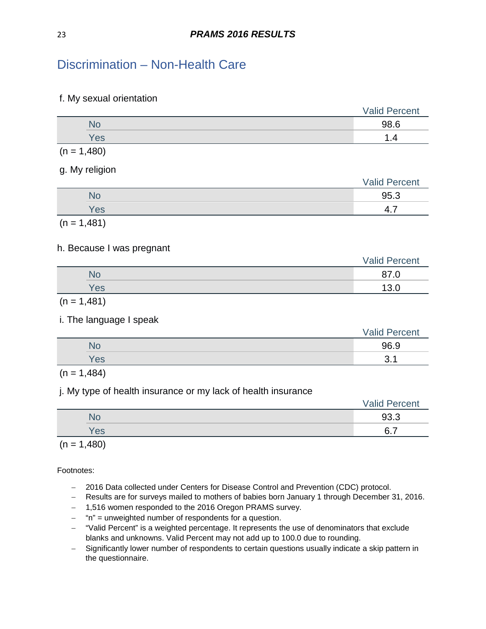## Discrimination – Non-Health Care

#### f. My sexual orientation

|     | <b>Valid Percent</b> |
|-----|----------------------|
|     | 98.6                 |
| Yes |                      |
| .   |                      |

 $(n = 1,480)$ 

g. My religion

| ____<br>__ | $\sim$ | <b>Valid Percent</b> |
|------------|--------|----------------------|
|            | No     | 95.3                 |
|            | Yes    | Δ<br>T.I             |
|            |        |                      |

 $(n = 1,481)$ 

#### h. Because I was pregnant

|     | <b>Valid Percent</b> |  |
|-----|----------------------|--|
| NU  | ດ¬<br>. .            |  |
| Yes | 12                   |  |
|     |                      |  |

 $(n = 1,481)$ 

#### i. The language I speak

|     | <b>Valid Percent</b> |
|-----|----------------------|
|     | 96.9                 |
| Yes | ◠                    |
|     |                      |

 $(n = 1,484)$ 

#### j. My type of health insurance or my lack of health insurance

|     | <b>Valid Percent</b> |
|-----|----------------------|
| No  | 93.3                 |
| Yes | $\epsilon$<br>–      |
|     |                      |

 $(n = 1,480)$ 

- − 2016 Data collected under Centers for Disease Control and Prevention (CDC) protocol.
- − Results are for surveys mailed to mothers of babies born January 1 through December 31, 2016.
- − 1,516 women responded to the 2016 Oregon PRAMS survey.
- − "n" = unweighted number of respondents for a question.
- − "Valid Percent" is a weighted percentage. It represents the use of denominators that exclude blanks and unknowns. Valid Percent may not add up to 100.0 due to rounding.
- − Significantly lower number of respondents to certain questions usually indicate a skip pattern in the questionnaire.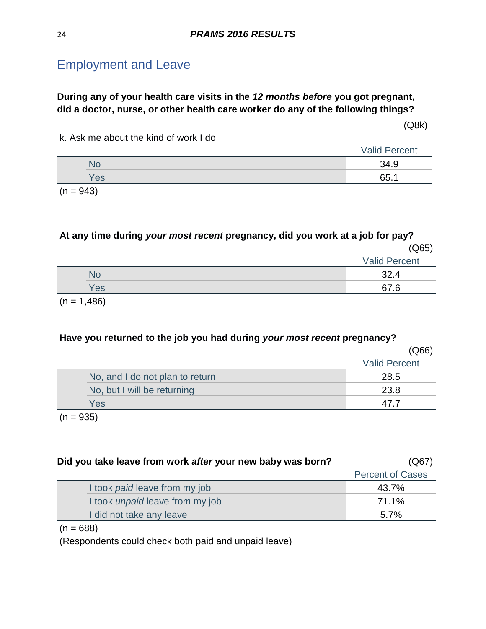### <span id="page-23-0"></span>**During any of your health care visits in the** *12 months before* **you got pregnant, did a doctor, nurse, or other health care worker do any of the following things?**

(Q8k)

k. Ask me about the kind of work I do

|                      | <b>Valid Percent</b> |
|----------------------|----------------------|
|                      | 34.9                 |
| Yes                  | 65.1                 |
| $\sim$ $\sim$ $\sim$ |                      |

 $(n = 943)$ 

**At any time during** *your most recent* **pregnancy, did you work at a job for pay?** (Q65)

|           | <b>Valid Percent</b> |
|-----------|----------------------|
| <b>No</b> | ົດ                   |
| Yes       | 67 R<br>. .          |
|           |                      |

 $(n = 1,486)$ 

#### **Have you returned to the job you had during** *your most recent* **pregnancy?**

|     |                                 | (Q66)                |
|-----|---------------------------------|----------------------|
|     |                                 | <b>Valid Percent</b> |
|     | No, and I do not plan to return | 28.5                 |
|     | No, but I will be returning     | 23.8                 |
| Yes |                                 |                      |
|     |                                 |                      |

 $(n = 935)$ 

| Did you take leave from work after your new baby was born? | (Q67)                   |
|------------------------------------------------------------|-------------------------|
|                                                            | <b>Percent of Cases</b> |
| I took <i>paid</i> leave from my job                       | 43.7%                   |
| I took <i>unpaid</i> leave from my job                     | 71.1%                   |
| I did not take any leave                                   | $5.7\%$                 |

 $(n = 688)$ 

(Respondents could check both paid and unpaid leave)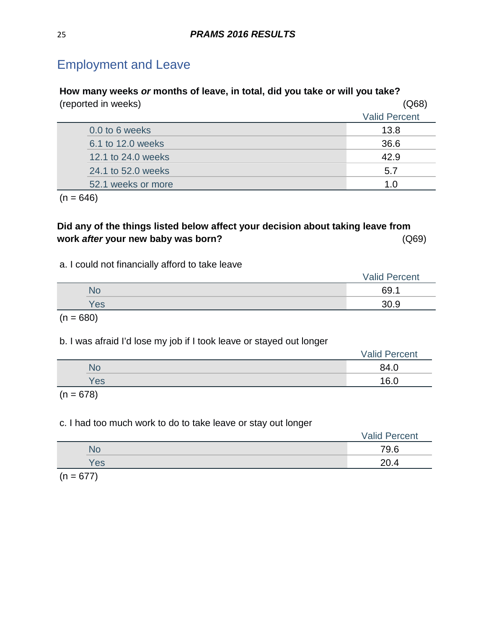| How many weeks or months of leave, in total, did you take or will you take? |                      |  |
|-----------------------------------------------------------------------------|----------------------|--|
| (reported in weeks)                                                         | (Q68)                |  |
|                                                                             | <b>Valid Percent</b> |  |
| 0.0 to 6 weeks                                                              | 13.8                 |  |
| 6.1 to 12.0 weeks                                                           | 36.6                 |  |
| 12.1 to 24.0 weeks                                                          | 42.9                 |  |
| 24.1 to 52.0 weeks                                                          | 5.7                  |  |
| 52.1 weeks or more                                                          | 1.0                  |  |
|                                                                             |                      |  |

 $(n = 646)$ 

## **Did any of the things listed below affect your decision about taking leave from work** *after* **your new baby was born?** (Q69)

### a. I could not financially afford to take leave

|     | <b>Valid Percent</b> |
|-----|----------------------|
| No  | 69                   |
| Yes | 30.9                 |
|     |                      |

 $(n = 680)$ 

b. I was afraid I'd lose my job if I took leave or stayed out longer

|     | <b>Valid Percent</b> |
|-----|----------------------|
| NO  | 84.0                 |
| Yes | 16. <sub>C</sub>     |

 $(n = 678)$ 

### c. I had too much work to do to take leave or stay out longer

|     | <b>Valid Percent</b> |
|-----|----------------------|
| No  | 79.6                 |
| Yes | 20.4                 |
|     |                      |

 $(n = 677)$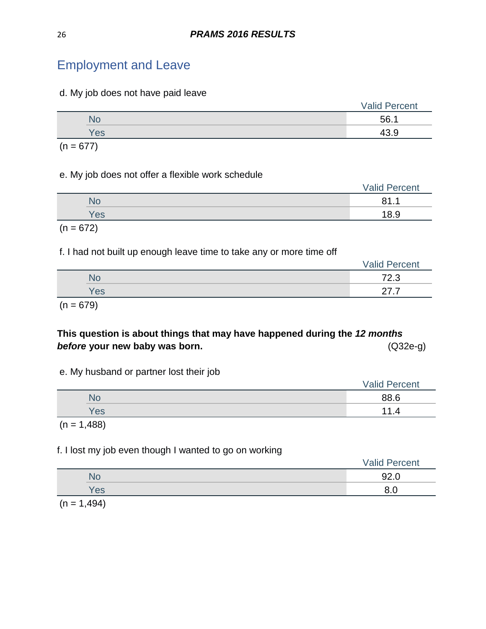d. My job does not have paid leave

|     | <b>Valid Percent</b> |
|-----|----------------------|
| NO  | 56.1                 |
| Yes |                      |

 $(n = 677)$ 

#### e. My job does not offer a flexible work schedule

|     | <b>Valid Percent</b> |
|-----|----------------------|
| No  | 81.1                 |
| Yes | 18.9                 |
|     |                      |

# $(n = 672)$

#### f. I had not built up enough leave time to take any or more time off

|     | <b>Valid Percent</b> |  |
|-----|----------------------|--|
| No  | 72.3                 |  |
| Yes | -<br>.               |  |
|     |                      |  |

 $(n = 679)$ 

## **This question is about things that may have happened during the** *12 months*  **before your new baby was born. before in the contract of the contract of the contract of**  $(Q32e-g)$

|  | e. My husband or partner lost their job |  |  |  |
|--|-----------------------------------------|--|--|--|
|  |                                         |  |  |  |

|     | <b>Valid Percent</b> |
|-----|----------------------|
| No  | 88.6                 |
| Yes | 1.4                  |
|     |                      |

 $(n = 1,488)$ 

### f. I lost my job even though I wanted to go on working

|      | <b>Valid Percent</b> |
|------|----------------------|
| 'NC. | 92.0                 |
| Yes  | റെ<br>o.u            |
|      |                      |

 $(n = 1,494)$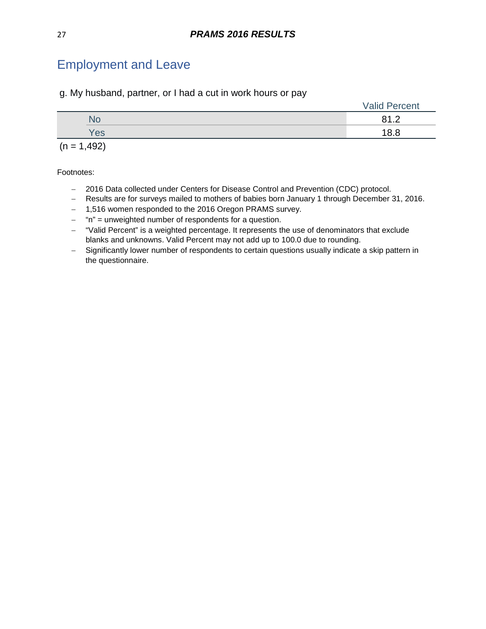g. My husband, partner, or I had a cut in work hours or pay

|     | <b>Valid Percent</b> |
|-----|----------------------|
| NO  | <u>ດ 4</u> ຕ<br>.    |
| Yes | 18.8                 |

 $(n = 1,492)$ 

- − 2016 Data collected under Centers for Disease Control and Prevention (CDC) protocol.
- − Results are for surveys mailed to mothers of babies born January 1 through December 31, 2016.
- − 1,516 women responded to the 2016 Oregon PRAMS survey.
- − "n" = unweighted number of respondents for a question.
- − "Valid Percent" is a weighted percentage. It represents the use of denominators that exclude blanks and unknowns. Valid Percent may not add up to 100.0 due to rounding.
- − Significantly lower number of respondents to certain questions usually indicate a skip pattern in the questionnaire.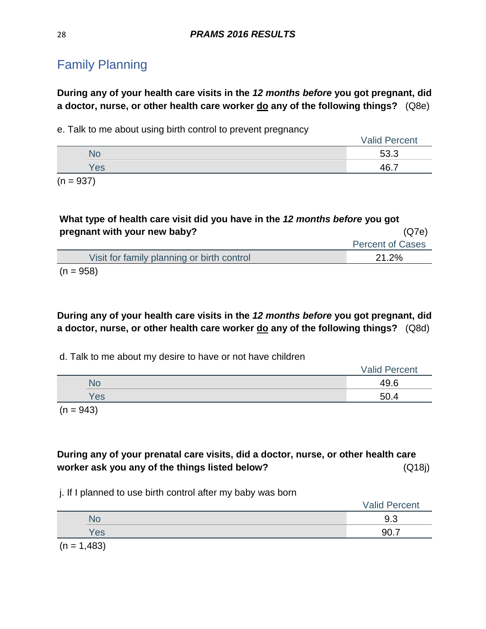<span id="page-27-0"></span>**During any of your health care visits in the** *12 months before* **you got pregnant, did a doctor, nurse, or other health care worker do any of the following things?** (Q8e)

e. Talk to me about using birth control to prevent pregnancy

|                     |     | <b>Valid Percent</b> |
|---------------------|-----|----------------------|
|                     | NC  | 53.3                 |
|                     | Yes | 467                  |
| $\sim$<br>$- - - -$ |     |                      |

 $(n = 937)$ 

| What type of health care visit did you have in the 12 months before you got |                         |  |  |
|-----------------------------------------------------------------------------|-------------------------|--|--|
| pregnant with your new baby?                                                | (Q7e)                   |  |  |
|                                                                             | <b>Percent of Cases</b> |  |  |
| Visit for family planning or birth control                                  | 21.2%                   |  |  |
| $(n = 958)$                                                                 |                         |  |  |

**During any of your health care visits in the** *12 months before* **you got pregnant, did a doctor, nurse, or other health care worker do any of the following things?** (Q8d)

d. Talk to me about my desire to have or not have children

|           | <b>Valid Percent</b> |
|-----------|----------------------|
| <b>No</b> | 49.6                 |
| Yes       | 50.4                 |
|           |                      |

 $(n = 943)$ 

**During any of your prenatal care visits, did a doctor, nurse, or other health care worker ask you any of the things listed below?** (Q18j)

j. If I planned to use birth control after my baby was born

|             | <b>Valid Percent</b> |
|-------------|----------------------|
| No          | 9.3                  |
| Yes         | 90.7                 |
| $(n + 100)$ |                      |

 $(n = 1,483)$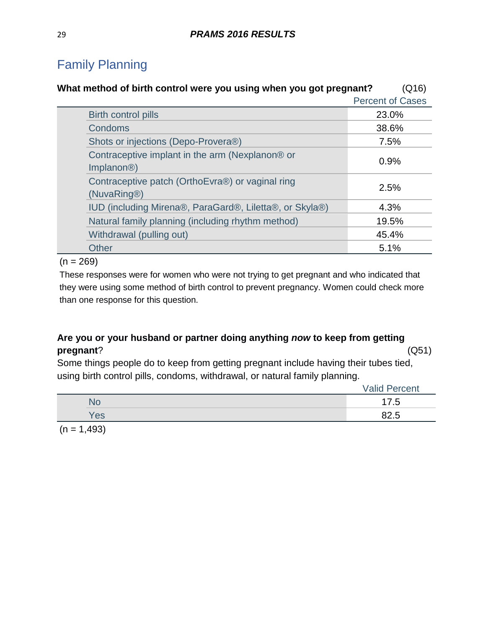| What method of birth control were you using when you got pregnant?                     | (Q16)                   |
|----------------------------------------------------------------------------------------|-------------------------|
|                                                                                        | <b>Percent of Cases</b> |
| Birth control pills                                                                    | 23.0%                   |
| <b>Condoms</b>                                                                         | 38.6%                   |
| Shots or injections (Depo-Provera®)                                                    | 7.5%                    |
| Contraceptive implant in the arm (Nexplanon <sup>®</sup> or<br>Implanon <sup>®</sup> ) | 0.9%                    |
| Contraceptive patch (OrthoEvra®) or vaginal ring<br>(NuvaRing®)                        | 2.5%                    |
| IUD (including Mirena®, ParaGard®, Liletta®, or Skyla®)                                | 4.3%                    |
| Natural family planning (including rhythm method)                                      | 19.5%                   |
| Withdrawal (pulling out)                                                               | 45.4%                   |
| <b>Other</b>                                                                           | 5.1%                    |
|                                                                                        |                         |

 $(n = 269)$ 

These responses were for women who were not trying to get pregnant and who indicated that they were using some method of birth control to prevent pregnancy. Women could check more than one response for this question.

## **Are you or your husband or partner doing anything** *now* **to keep from getting pregnant**? (Q51)

Some things people do to keep from getting pregnant include having their tubes tied, using birth control pills, condoms, withdrawal, or natural family planning.

|     | <b>Valid Percent</b> |
|-----|----------------------|
| NС  | 4.5                  |
| Yes | ᄃ                    |

 $(n = 1,493)$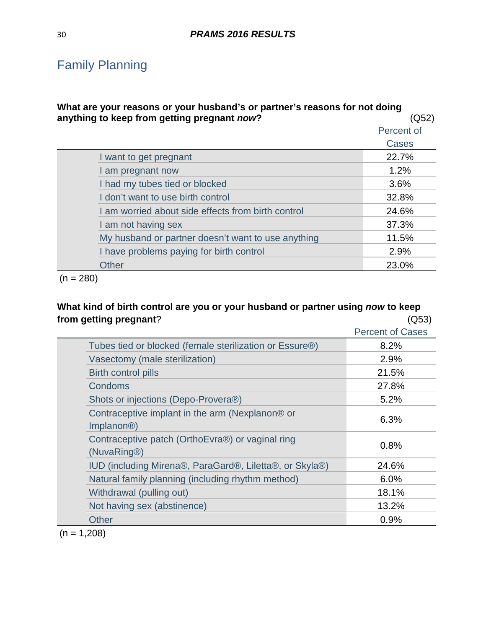### **What are your reasons or your husband's or partner's reasons for not doing**  anything to keep from getting pregnant *now*? (Q52)

|                                                    | Percent of |
|----------------------------------------------------|------------|
|                                                    | Cases      |
| I want to get pregnant                             | 22.7%      |
| I am pregnant now                                  | 1.2%       |
| I had my tubes tied or blocked                     | 3.6%       |
| I don't want to use birth control                  | 32.8%      |
| I am worried about side effects from birth control | 24.6%      |
| I am not having sex                                | 37.3%      |
| My husband or partner doesn't want to use anything | 11.5%      |
| I have problems paying for birth control           | 2.9%       |
| <b>Other</b>                                       | 23.0%      |

 $(n = 280)$ 

### **What kind of birth control are you or your husband or partner using** *now* **to keep from getting pregnant**? (Q53)

|                                                                            | <b>Percent of Cases</b> |
|----------------------------------------------------------------------------|-------------------------|
| Tubes tied or blocked (female sterilization or Essure®)                    | 8.2%                    |
| Vasectomy (male sterilization)                                             | 2.9%                    |
| <b>Birth control pills</b>                                                 | 21.5%                   |
| Condoms                                                                    | 27.8%                   |
| Shots or injections (Depo-Provera®)                                        | 5.2%                    |
| Contraceptive implant in the arm (Nexplanon® or<br>Implanon <sup>®</sup> ) | 6.3%                    |
| Contraceptive patch (OrthoEvra®) or vaginal ring<br>(NuvaRing®)            | 0.8%                    |
| IUD (including Mirena®, ParaGard®, Liletta®, or Skyla®)                    | 24.6%                   |
| Natural family planning (including rhythm method)                          | 6.0%                    |
| Withdrawal (pulling out)                                                   | 18.1%                   |
| Not having sex (abstinence)                                                | 13.2%                   |
| <b>Other</b>                                                               | 0.9%                    |

 $(n = 1,208)$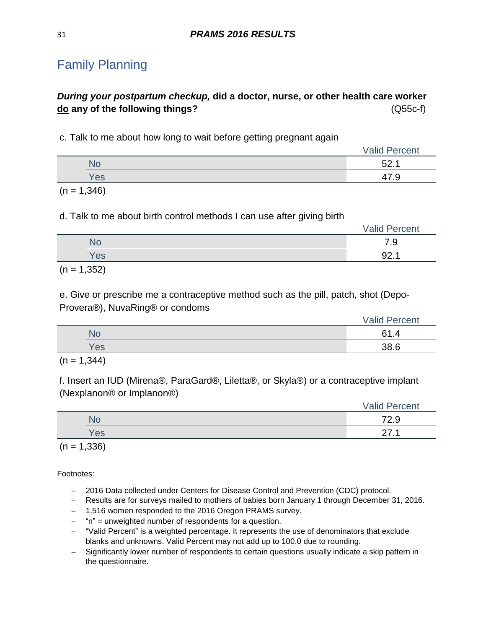## *During your postpartum checkup,* **did a doctor, nurse, or other health care worker do any of the following things?** (Q55c-f)

c. Talk to me about how long to wait before getting pregnant again

|     | <b>Valid Percent</b> |
|-----|----------------------|
| No  | よつ<br><b>J</b> 4.1   |
| Yes | ′.৬                  |
|     |                      |

 $(n = 1,346)$ 

d. Talk to me about birth control methods I can use after giving birth

| NO  | $\overline{\phantom{a}}$<br>.স |
|-----|--------------------------------|
| Yes | ററ<br>JL.                      |

 $(n = 1,352)$ 

e. Give or prescribe me a contraceptive method such as the pill, patch, shot (Depo-Provera®), NuvaRing® or condoms

|     | <b>Valid Percent</b> |
|-----|----------------------|
| No  | 21                   |
| Yes | 28 G                 |

 $(n = 1, 344)$ 

f. Insert an IUD (Mirena®, ParaGard®, Liletta®, or Skyla®) or a contraceptive implant (Nexplanon® or Implanon®)

|     | <b>Valid Percent</b> |
|-----|----------------------|
| No  | 700<br>7.Y           |
| Yes | $\sim$<br><u>_</u>   |

 $(n = 1,336)$ 

- − 2016 Data collected under Centers for Disease Control and Prevention (CDC) protocol.
- − Results are for surveys mailed to mothers of babies born January 1 through December 31, 2016.
- − 1,516 women responded to the 2016 Oregon PRAMS survey.
- − "n" = unweighted number of respondents for a question.
- − "Valid Percent" is a weighted percentage. It represents the use of denominators that exclude blanks and unknowns. Valid Percent may not add up to 100.0 due to rounding.
- − Significantly lower number of respondents to certain questions usually indicate a skip pattern in the questionnaire.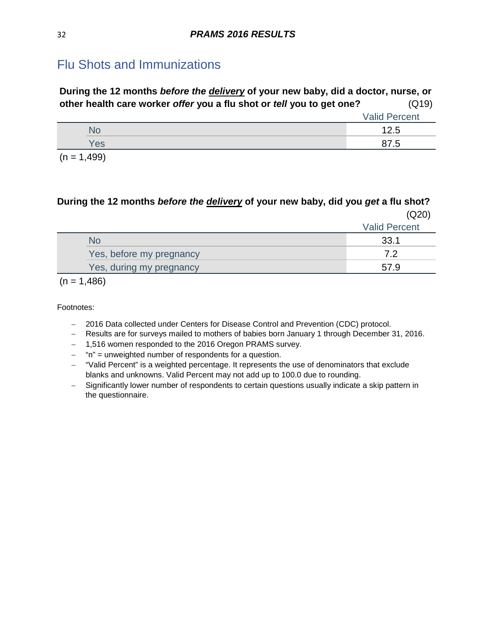## <span id="page-31-0"></span>Flu Shots and Immunizations

| During the 12 months <i>before the delivery</i> of your new baby, did a doctor, nurse, or |                      |
|-------------------------------------------------------------------------------------------|----------------------|
| other health care worker offer you a flu shot or tell you to get one?                     | (Q19)                |
|                                                                                           | <b>Valid Percent</b> |

|                       | <b>Vally LOUDIR</b> |
|-----------------------|---------------------|
| . NU                  | 1つ に<br>ں کے ر      |
| Yes                   | ں. וכ               |
| $\sqrt{2}$ $\sqrt{2}$ |                     |

 $(n = 1,499)$ 

### **During the 12 months** *before the delivery* **of your new baby, did you** *get* **a flu shot?** (Q20)

|                          | <b>Valid Percent</b> |
|--------------------------|----------------------|
| No                       | 33.1                 |
| Yes, before my pregnancy | 79                   |
| Yes, during my pregnancy | 579                  |
|                          |                      |

 $(n = 1,486)$ 

- − 2016 Data collected under Centers for Disease Control and Prevention (CDC) protocol.
- − Results are for surveys mailed to mothers of babies born January 1 through December 31, 2016.
- − 1,516 women responded to the 2016 Oregon PRAMS survey.
- − "n" = unweighted number of respondents for a question.
- − "Valid Percent" is a weighted percentage. It represents the use of denominators that exclude blanks and unknowns. Valid Percent may not add up to 100.0 due to rounding.
- − Significantly lower number of respondents to certain questions usually indicate a skip pattern in the questionnaire.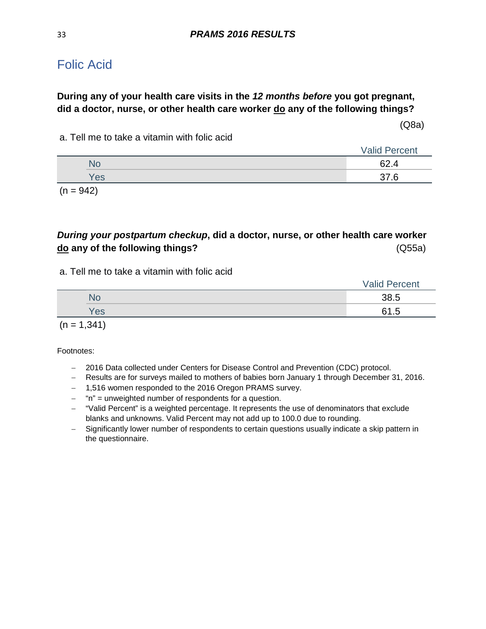## <span id="page-32-0"></span>Folic Acid

### **During any of your health care visits in the** *12 months before* **you got pregnant, did a doctor, nurse, or other health care worker do any of the following things?**

(Q8a)

a. Tell me to take a vitamin with folic acid

|     | <b>Valid Percent</b> |  |
|-----|----------------------|--|
| NС  | ≏າ<br>)Z.4           |  |
| Yes | .6                   |  |
|     |                      |  |

 $(n = 942)$ 

## *During your postpartum checkup***, did a doctor, nurse, or other health care worker do any of the following things?** (Q55a)

a. Tell me to take a vitamin with folic acid

|     | <b>Valid Percent</b> |
|-----|----------------------|
| No  | 38.5                 |
| Yes | 61.5                 |
|     |                      |

 $(n = 1, 341)$ 

- − 2016 Data collected under Centers for Disease Control and Prevention (CDC) protocol.
- − Results are for surveys mailed to mothers of babies born January 1 through December 31, 2016.
- − 1,516 women responded to the 2016 Oregon PRAMS survey.
- − "n" = unweighted number of respondents for a question.
- − "Valid Percent" is a weighted percentage. It represents the use of denominators that exclude blanks and unknowns. Valid Percent may not add up to 100.0 due to rounding.
- − Significantly lower number of respondents to certain questions usually indicate a skip pattern in the questionnaire.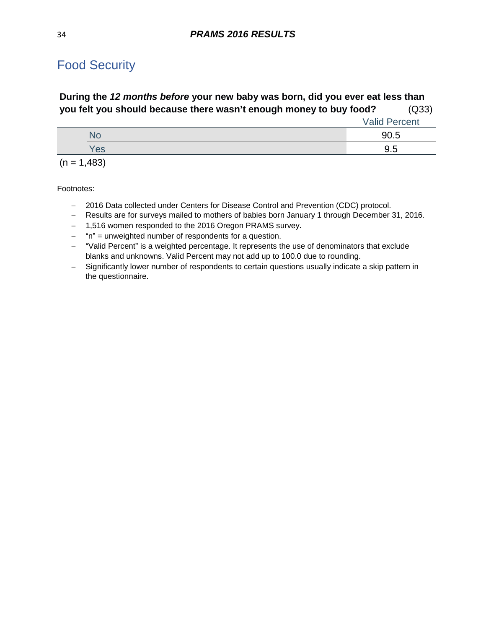# <span id="page-33-0"></span>Food Security

### **During the** *12 months before* **your new baby was born, did you ever eat less than you felt you should because there wasn't enough money to buy food?** (Q33)

|               | <b>Valid Percent</b> |
|---------------|----------------------|
| <b>No</b>     | 90.5                 |
| Yes           | 9.5                  |
| $(n = 1,483)$ |                      |

- − 2016 Data collected under Centers for Disease Control and Prevention (CDC) protocol.
- − Results are for surveys mailed to mothers of babies born January 1 through December 31, 2016.
- − 1,516 women responded to the 2016 Oregon PRAMS survey.
- − "n" = unweighted number of respondents for a question.
- − "Valid Percent" is a weighted percentage. It represents the use of denominators that exclude blanks and unknowns. Valid Percent may not add up to 100.0 due to rounding.
- − Significantly lower number of respondents to certain questions usually indicate a skip pattern in the questionnaire.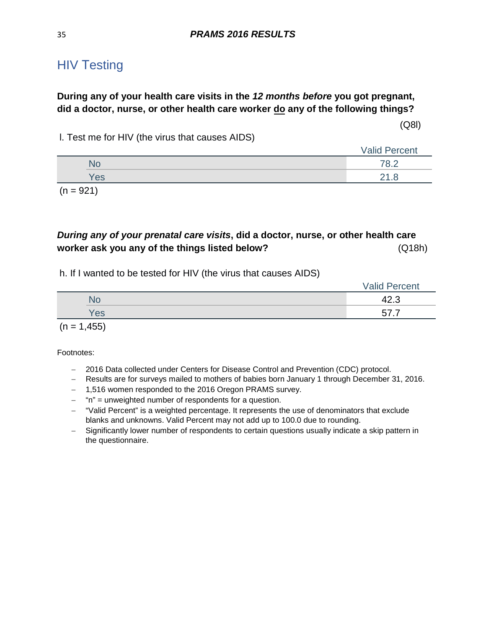## <span id="page-34-0"></span>**HIV Testing**

### **During any of your health care visits in the** *12 months before* **you got pregnant, did a doctor, nurse, or other health care worker do any of the following things?**

(Q8l)

l. Test me for HIV (the virus that causes AIDS)

|  |     | <b>Valid Percent</b> |
|--|-----|----------------------|
|  | ٧С  |                      |
|  | Yes | ס ו <i>ר</i>         |
|  |     |                      |

 $(n = 921)$ 

### *During any of your prenatal care visits***, did a doctor, nurse, or other health care worker ask you any of the things listed below?** (Q18h)

h. If I wanted to be tested for HIV (the virus that causes AIDS)

|     | <b>Valid Percent</b> |
|-----|----------------------|
| No  | 42.3                 |
| Yes | ~<br>.               |
|     |                      |

 $(n = 1, 455)$ 

- − 2016 Data collected under Centers for Disease Control and Prevention (CDC) protocol.
- − Results are for surveys mailed to mothers of babies born January 1 through December 31, 2016.
- − 1,516 women responded to the 2016 Oregon PRAMS survey.
- − "n" = unweighted number of respondents for a question.
- − "Valid Percent" is a weighted percentage. It represents the use of denominators that exclude blanks and unknowns. Valid Percent may not add up to 100.0 due to rounding.
- − Significantly lower number of respondents to certain questions usually indicate a skip pattern in the questionnaire.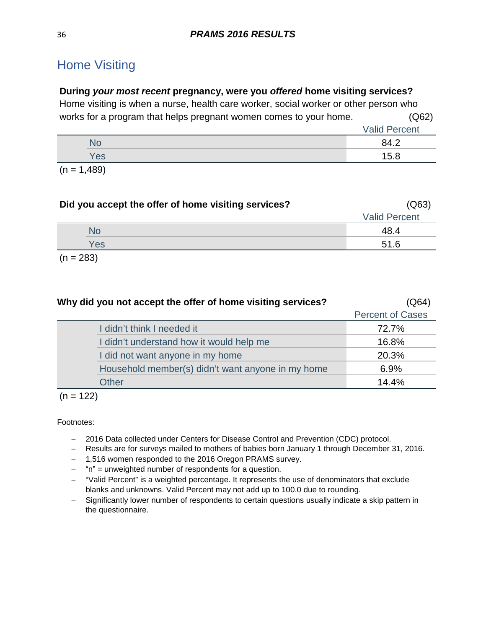# <span id="page-35-0"></span>Home Visiting

### **During** *your most recent* **pregnancy, were you** *offered* **home visiting services?**

Home visiting is when a nurse, health care worker, social worker or other person who works for a program that helps pregnant women comes to your home. (Q62)

|                          |                | <b>Valid Percent</b> |
|--------------------------|----------------|----------------------|
|                          | NС             | 84 2                 |
|                          | Yes            | 15.8                 |
| $\overline{\phantom{a}}$ | $\overline{1}$ |                      |

 $(n = 1,489)$ 

| Did you accept the offer of home visiting services? | (Q63)                |
|-----------------------------------------------------|----------------------|
|                                                     | <b>Valid Percent</b> |
| <b>No</b>                                           | 48.4                 |
| Yes                                                 | 51.6                 |
| $(n = 283)$                                         |                      |

| Why did you not accept the offer of home visiting services? | (Q64)                   |
|-------------------------------------------------------------|-------------------------|
|                                                             | <b>Percent of Cases</b> |
| I didn't think I needed it                                  | 72.7%                   |
| I didn't understand how it would help me                    | 16.8%                   |
| I did not want anyone in my home                            | 20.3%                   |
| Household member(s) didn't want anyone in my home           | 6.9%                    |
| <b>Other</b>                                                | 14.4%                   |

 $(n = 122)$ 

- − 2016 Data collected under Centers for Disease Control and Prevention (CDC) protocol.
- − Results are for surveys mailed to mothers of babies born January 1 through December 31, 2016.
- − 1,516 women responded to the 2016 Oregon PRAMS survey.
- − "n" = unweighted number of respondents for a question.
- − "Valid Percent" is a weighted percentage. It represents the use of denominators that exclude blanks and unknowns. Valid Percent may not add up to 100.0 due to rounding.
- − Significantly lower number of respondents to certain questions usually indicate a skip pattern in the questionnaire.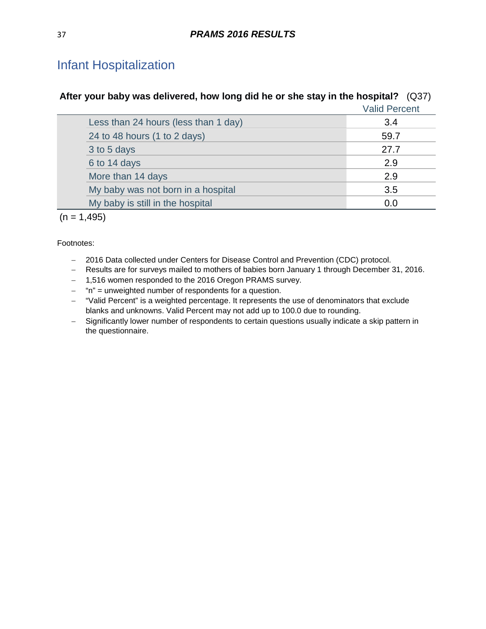# Infant Hospitalization

| After your baby was delivered, how long did he or she stay in the hospital? (Q37) |  |
|-----------------------------------------------------------------------------------|--|
| <i><b>Nolid Doroont</b></i>                                                       |  |

|                                      | Valla Felcent |
|--------------------------------------|---------------|
| Less than 24 hours (less than 1 day) | 3.4           |
| 24 to 48 hours (1 to 2 days)         | 59.7          |
| 3 to 5 days                          | 27.7          |
| 6 to 14 days                         | 2.9           |
| More than 14 days                    | 2.9           |
| My baby was not born in a hospital   | 3.5           |
| My baby is still in the hospital     | 0.0           |
|                                      |               |

 $(n = 1,495)$ 

- − 2016 Data collected under Centers for Disease Control and Prevention (CDC) protocol.
- − Results are for surveys mailed to mothers of babies born January 1 through December 31, 2016.
- − 1,516 women responded to the 2016 Oregon PRAMS survey.
- − "n" = unweighted number of respondents for a question.
- − "Valid Percent" is a weighted percentage. It represents the use of denominators that exclude blanks and unknowns. Valid Percent may not add up to 100.0 due to rounding.
- − Significantly lower number of respondents to certain questions usually indicate a skip pattern in the questionnaire.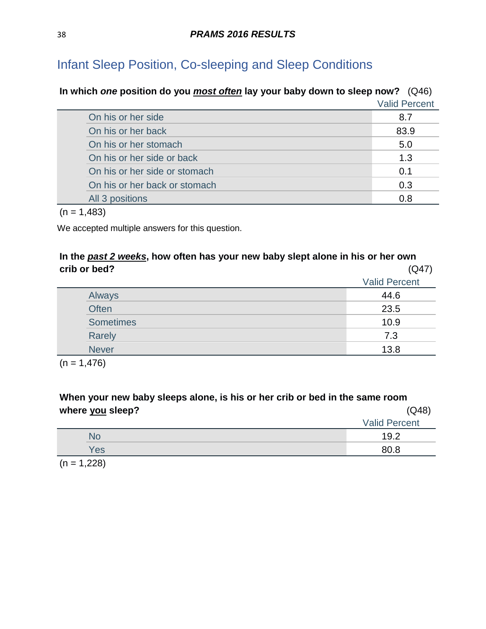# **In which** *one* **position do you** *most often* **lay your baby down to sleep now?** (Q46) Valid Percent On his or her side 8.7 On his or her back 83.9 On his or her stomach 5.0 On his or her side or back 1.3 and 1.3 and 1.3 and 1.3 and 1.3 and 1.3 and 1.3 and 1.3 and 1.3 and 1.3 and 1.3 and 1.3 and 1.3 and 1.3 and 1.3 and 1.3 and 1.3 and 1.3 and 1.3 and 1.3 and 1.3 and 1.3 and 1.4 and 1.4 and 1.4 On his or her side or stomach 0.1 and 0.1 and 0.1 and 0.1 and 0.1 and 0.1 and 0.1 and 0.1 and 0.1 and 0.1 and 0.1 and 0.1 and 0.1 and 0.1 and 0.1 and 0.1 and 0.1 and 0.1 and 0.1 and 0.1 and 0.1 and 0.1 and 0.1 and 0.1 and On his or her back or stomach 0.3 All 3 positions **0.8** Contract the contract of the contract of the contract of the contract of the contract of the contract of the contract of the contract of the contract of the contract of the contract of the contract of

 $(n = 1,483)$ 

We accepted multiple answers for this question.

# **In the** *past 2 weeks***, how often has your new baby slept alone in his or her own crib or bed?** (Q47)

|                  | <b>Valid Percent</b> |
|------------------|----------------------|
| Always           | 44.6                 |
| <b>Often</b>     | 23.5                 |
| <b>Sometimes</b> | 10.9                 |
| Rarely           | 7.3                  |
| <b>Never</b>     | 13.8                 |
|                  |                      |

 $(n = 1,476)$ 

**When your new baby sleeps alone, is his or her crib or bed in the same room where you sleep?** (Q48)

|     | <b>Valid Percent</b> |
|-----|----------------------|
| No  | 19.2                 |
| Yes | 80.8                 |

 $(n = 1,228)$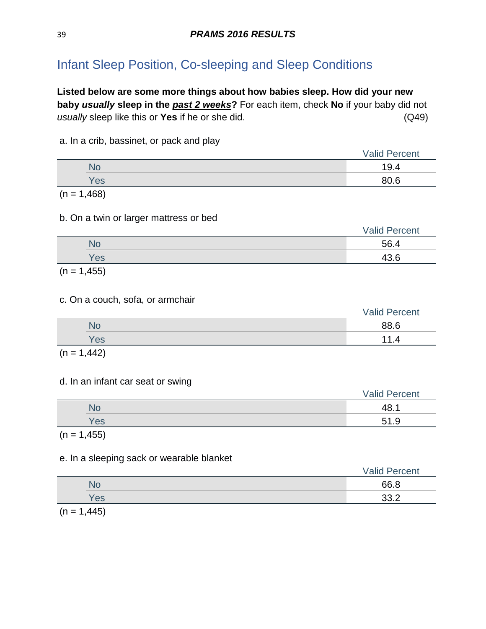**Listed below are some more things about how babies sleep. How did your new baby** *usually* **sleep in the** *past 2 weeks***?** For each item, check **No** if your baby did not *usually* sleep like this or **Yes** if he or she did. (Q49)

#### a. In a crib, bassinet, or pack and play

|            | <b>Valid Percent</b> |
|------------|----------------------|
| No         | 19.4                 |
| <b>Yes</b> | 80.6                 |

 $(n = 1,468)$ 

#### b. On a twin or larger mattress or bed

|            |           | <b>Valid Percent</b> |
|------------|-----------|----------------------|
|            | <b>No</b> | 56.4                 |
|            | Yes       | 43.6                 |
| $\sqrt{2}$ |           |                      |

 $(n = 1, 455)$ 

#### c. On a couch, sofa, or armchair

|     | <b>Valid Percent</b> |
|-----|----------------------|
| No  | 88.6                 |
| Yes | 4                    |
| .   |                      |

 $(n = 1,442)$ 

#### d. In an infant car seat or swing

|     | <b>Valid Percent</b> |
|-----|----------------------|
| No  | 48.1                 |
| Yes | 51.9                 |
|     |                      |

 $(n = 1, 455)$ 

#### e. In a sleeping sack or wearable blanket

|                                                                                                                 |     | <b>Valid Percent</b>        |
|-----------------------------------------------------------------------------------------------------------------|-----|-----------------------------|
|                                                                                                                 | No  | 66.8                        |
|                                                                                                                 | Yes | າາ າ<br>$\cup \cup \Lambda$ |
| the contract of the contract of the contract of the contract of the contract of the contract of the contract of |     |                             |

 $(n = 1,445)$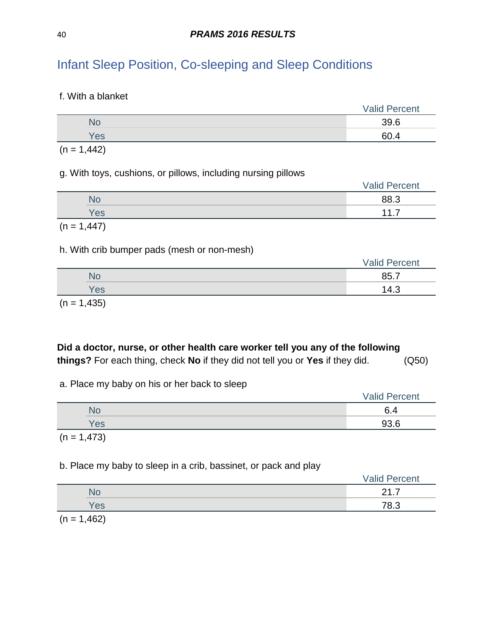f. With a blanket

|     | <b>Valid Percent</b> |  |
|-----|----------------------|--|
|     | 39.6                 |  |
| Yes | 60.4                 |  |
|     |                      |  |

 $(n = 1,442)$ 

#### g. With toys, cushions, or pillows, including nursing pillows

|               | <b>Valid Percent</b> |
|---------------|----------------------|
| No            | 88.3                 |
| <b>Yes</b>    | 117                  |
| $(n = 1,447)$ |                      |

#### h. With crib bumper pads (mesh or non-mesh)

|            | <b>Valid Percent</b> |
|------------|----------------------|
| <b>No</b>  | 85.7                 |
| <b>Yes</b> | 14.3                 |
|            |                      |

 $(n = 1,435)$ 

# **Did a doctor, nurse, or other health care worker tell you any of the following things?** For each thing, check **No** if they did not tell you or **Yes** if they did. (Q50)

#### a. Place my baby on his or her back to sleep

|     | <b>Valid Percent</b> |  |
|-----|----------------------|--|
| No  | C.<br>D.4            |  |
| Yes | 93.6                 |  |
|     |                      |  |

 $(n = 1,473)$ 

### b. Place my baby to sleep in a crib, bassinet, or pack and play

|                                  | <b>Valid Percent</b> |
|----------------------------------|----------------------|
| No                               | ິດ 4                 |
| <b>Yes</b>                       | 78.3                 |
| $\sqrt{2}$ $\sqrt{2}$ $\sqrt{2}$ |                      |

 $(n = 1,462)$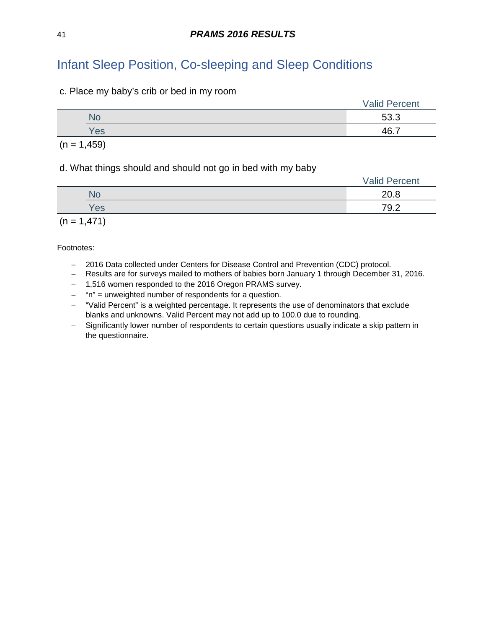c. Place my baby's crib or bed in my room

|     | <b>Valid Percent</b> |
|-----|----------------------|
| Nc  | 53.3                 |
| Yes | ACZ                  |
|     |                      |

 $(n = 1,459)$ 

#### d. What things should and should not go in bed with my baby

|     | <b>Valid Percent</b> |
|-----|----------------------|
| Nc  | 20.8                 |
| Yes | 79.2                 |
|     |                      |

 $(n = 1,471)$ 

- − 2016 Data collected under Centers for Disease Control and Prevention (CDC) protocol.
- − Results are for surveys mailed to mothers of babies born January 1 through December 31, 2016.
- − 1,516 women responded to the 2016 Oregon PRAMS survey.
- − "n" = unweighted number of respondents for a question.
- − "Valid Percent" is a weighted percentage. It represents the use of denominators that exclude blanks and unknowns. Valid Percent may not add up to 100.0 due to rounding.
- − Significantly lower number of respondents to certain questions usually indicate a skip pattern in the questionnaire.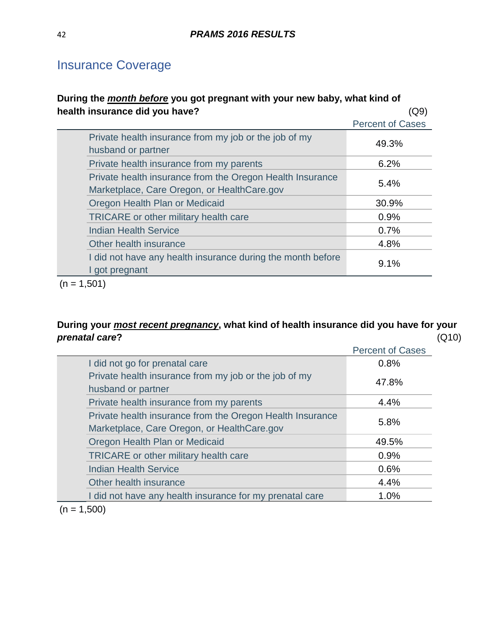# Insurance Coverage

### **During the** *month before* **you got pregnant with your new baby, what kind of health insurance did you have?** (Q9)

|                                                                                                          | <b>Percent of Cases</b> |
|----------------------------------------------------------------------------------------------------------|-------------------------|
| Private health insurance from my job or the job of my<br>husband or partner                              | 49.3%                   |
| Private health insurance from my parents                                                                 | 6.2%                    |
| Private health insurance from the Oregon Health Insurance<br>Marketplace, Care Oregon, or HealthCare.gov | 5.4%                    |
| Oregon Health Plan or Medicaid                                                                           | 30.9%                   |
| <b>TRICARE</b> or other military health care                                                             | 0.9%                    |
| <b>Indian Health Service</b>                                                                             | 0.7%                    |
| Other health insurance                                                                                   | 4.8%                    |
| I did not have any health insurance during the month before<br>I got pregnant                            | 9.1%                    |
|                                                                                                          |                         |

 $(n = 1,501)$ 

# **During your** *most recent pregnancy***, what kind of health insurance did you have for your**  *prenatal care***?** (Q10)

|                                                                                                          | <b>Percent of Cases</b> |
|----------------------------------------------------------------------------------------------------------|-------------------------|
| I did not go for prenatal care                                                                           | 0.8%                    |
| Private health insurance from my job or the job of my<br>husband or partner                              | 47.8%                   |
| Private health insurance from my parents                                                                 | 4.4%                    |
| Private health insurance from the Oregon Health Insurance<br>Marketplace, Care Oregon, or HealthCare.gov | 5.8%                    |
| Oregon Health Plan or Medicaid                                                                           | 49.5%                   |
| TRICARE or other military health care                                                                    | 0.9%                    |
| <b>Indian Health Service</b>                                                                             | 0.6%                    |
| Other health insurance                                                                                   | 4.4%                    |
| I did not have any health insurance for my prenatal care                                                 | 1.0%                    |
|                                                                                                          |                         |

 $(n = 1,500)$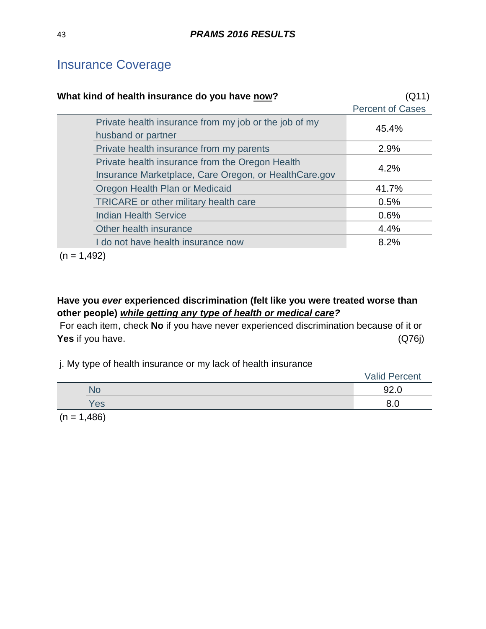# Insurance Coverage

| What kind of health insurance do you have now?                                                           | (Q11)                   |
|----------------------------------------------------------------------------------------------------------|-------------------------|
|                                                                                                          | <b>Percent of Cases</b> |
| Private health insurance from my job or the job of my<br>husband or partner                              | 45.4%                   |
| Private health insurance from my parents                                                                 | 2.9%                    |
| Private health insurance from the Oregon Health<br>Insurance Marketplace, Care Oregon, or HealthCare.gov | 4.2%                    |
| Oregon Health Plan or Medicaid                                                                           | 41.7%                   |
| TRICARE or other military health care                                                                    | 0.5%                    |
| <b>Indian Health Service</b>                                                                             | 0.6%                    |
| Other health insurance                                                                                   | 4.4%                    |
| I do not have health insurance now                                                                       | 8.2%                    |

 $(n = 1,492)$ 

# **Have you** *ever* **experienced discrimination (felt like you were treated worse than other people)** *while getting any type of health or medical care?*

For each item, check **No** if you have never experienced discrimination because of it or **Yes** if you have. (Q76j)

j. My type of health insurance or my lack of health insurance

|     | <b>Valid Percent</b> |  |
|-----|----------------------|--|
| N٥  | 92.0                 |  |
| Yes | ററ<br>o.u            |  |
|     |                      |  |

 $(n = 1,486)$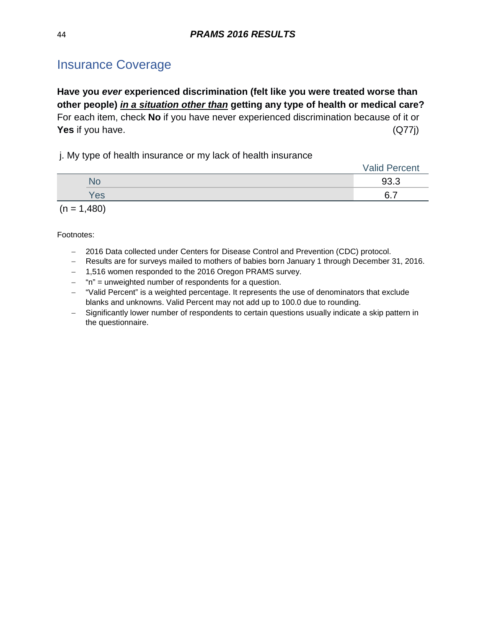# Insurance Coverage

**Have you** *ever* **experienced discrimination (felt like you were treated worse than other people)** *in a situation other than* **getting any type of health or medical care?** For each item, check **No** if you have never experienced discrimination because of it or **Yes** if you have. (Q77j)

j. My type of health insurance or my lack of health insurance

|               | <b>Valid Percent</b> |
|---------------|----------------------|
| <b>No</b>     | 93.3                 |
| Yes           | 6.7                  |
| $(n = 1,480)$ |                      |

- − 2016 Data collected under Centers for Disease Control and Prevention (CDC) protocol.
- − Results are for surveys mailed to mothers of babies born January 1 through December 31, 2016.
- − 1,516 women responded to the 2016 Oregon PRAMS survey.
- − "n" = unweighted number of respondents for a question.
- − "Valid Percent" is a weighted percentage. It represents the use of denominators that exclude blanks and unknowns. Valid Percent may not add up to 100.0 due to rounding.
- − Significantly lower number of respondents to certain questions usually indicate a skip pattern in the questionnaire.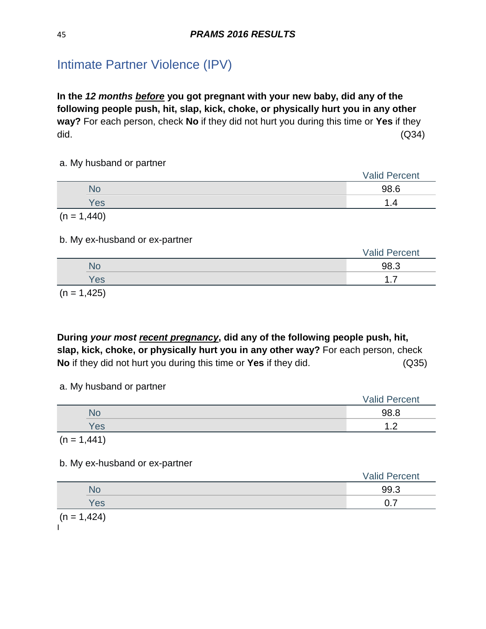# Intimate Partner Violence (IPV)

**In the** *12 months before* **you got pregnant with your new baby, did any of the following people push, hit, slap, kick, choke, or physically hurt you in any other way?** For each person, check **No** if they did not hurt you during this time or **Yes** if they did. (Q34)

#### a. My husband or partner

|               | <b>Valid Percent</b> |
|---------------|----------------------|
| No            | 98.6                 |
| Yes           |                      |
| $(n = 1,440)$ |                      |

#### b. My ex-husband or ex-partner

|     | <b>Valid Percent</b> |
|-----|----------------------|
| NO  | 98.3                 |
| Yes | -<br>.               |
|     |                      |

 $(n = 1, 425)$ 

**During** *your most recent pregnancy***, did any of the following people push, hit, slap, kick, choke, or physically hurt you in any other way?** For each person, check **No** if they did not hurt you during this time or **Yes** if they did. (Q35)

a. My husband or partner

|               | <b>Valid Percent</b> |
|---------------|----------------------|
| <b>No</b>     | 98.8                 |
| Yes           | ົ<br>.               |
| $(n = 1,441)$ |                      |

b. My ex-husband or ex-partner

|     | <b>Valid Percent</b> |
|-----|----------------------|
| NO  | 99.3                 |
| Yes | ⌒ フ<br>ັ.            |

 $(n = 1,424)$  $\mathbf{I}$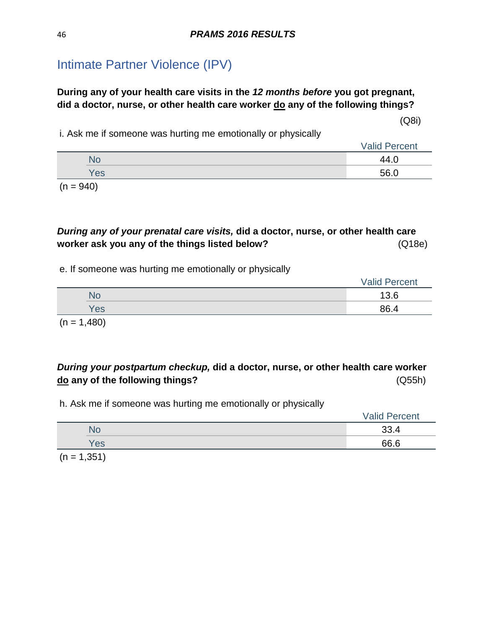# Intimate Partner Violence (IPV)

# **During any of your health care visits in the** *12 months before* **you got pregnant, did a doctor, nurse, or other health care worker do any of the following things?**

(Q8i)

i. Ask me if someone was hurting me emotionally or physically

|  |     | <b>Valid Percent</b> |
|--|-----|----------------------|
|  | NС  | 44.C                 |
|  | Yes | 56 N                 |

 $(n = 940)$ 

### *During any of your prenatal care visits,* **did a doctor, nurse, or other health care worker ask you any of the things listed below?** (Q18e)

#### e. If someone was hurting me emotionally or physically

|     | <b>Valid Percent</b> |
|-----|----------------------|
| No  | 13.6                 |
| Yes | 86.4                 |

 $(n = 1,480)$ 

### *During your postpartum checkup,* **did a doctor, nurse, or other health care worker do any of the following things?** (Q55h)

h. Ask me if someone was hurting me emotionally or physically

|     | <b>Valid Percent</b> |
|-----|----------------------|
|     | 33.4                 |
| Yes | 66.6                 |
|     |                      |

 $(n = 1, 351)$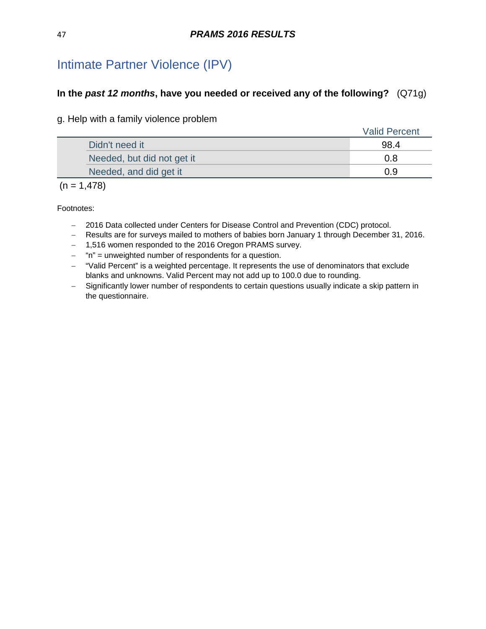# Intimate Partner Violence (IPV)

### **In the** *past 12 months***, have you needed or received any of the following?** (Q71g)

g. Help with a family violence problem

|                            | <b>Valid Percent</b> |
|----------------------------|----------------------|
| Didn't need it             | 98.4                 |
| Needed, but did not get it | 0.8                  |
| Needed, and did get it     | 0.9                  |

#### $(n = 1,478)$

- − 2016 Data collected under Centers for Disease Control and Prevention (CDC) protocol.
- − Results are for surveys mailed to mothers of babies born January 1 through December 31, 2016.
- − 1,516 women responded to the 2016 Oregon PRAMS survey.
- − "n" = unweighted number of respondents for a question.
- − "Valid Percent" is a weighted percentage. It represents the use of denominators that exclude blanks and unknowns. Valid Percent may not add up to 100.0 due to rounding.
- − Significantly lower number of respondents to certain questions usually indicate a skip pattern in the questionnaire.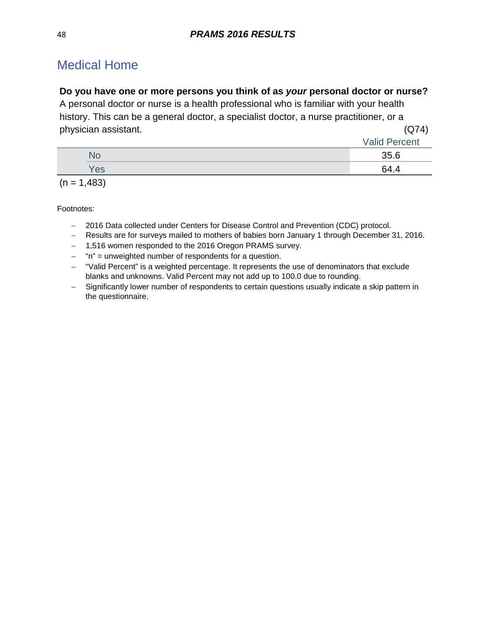# Medical Home

### **Do you have one or more persons you think of as** *your* **personal doctor or nurse?**

A personal doctor or nurse is a health professional who is familiar with your health history. This can be a general doctor, a specialist doctor, a nurse practitioner, or a physician assistant. (Q74)

|     | <b>Valid Percent</b> |
|-----|----------------------|
| No  | 35.6                 |
| Yes | 64.4                 |
|     |                      |

 $(n = 1,483)$ 

- − 2016 Data collected under Centers for Disease Control and Prevention (CDC) protocol.
- − Results are for surveys mailed to mothers of babies born January 1 through December 31, 2016.
- − 1,516 women responded to the 2016 Oregon PRAMS survey.
- − "n" = unweighted number of respondents for a question.
- − "Valid Percent" is a weighted percentage. It represents the use of denominators that exclude blanks and unknowns. Valid Percent may not add up to 100.0 due to rounding.
- − Significantly lower number of respondents to certain questions usually indicate a skip pattern in the questionnaire.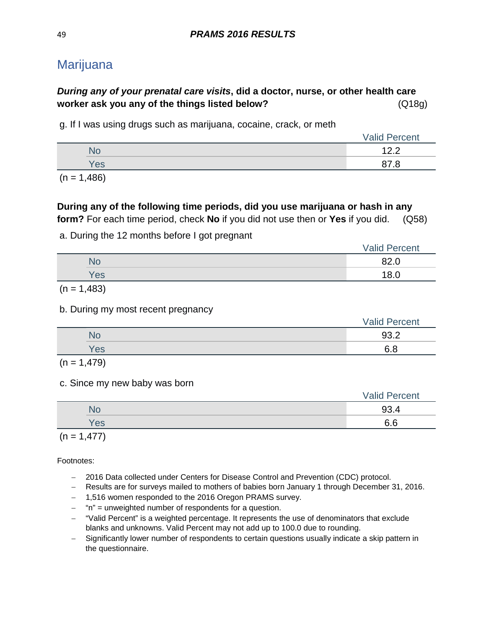# Marijuana

# *During any of your prenatal care visits***, did a doctor, nurse, or other health care worker ask you any of the things listed below?** (Q18g)

g. If I was using drugs such as marijuana, cocaine, crack, or meth

|  |     | <b>Valid Percent</b>               |
|--|-----|------------------------------------|
|  | No  | $\Lambda$ $\Omega$<br><u>_ . _</u> |
|  | Yes | . .                                |
|  |     |                                    |

 $(n = 1,486)$ 

### **During any of the following time periods, did you use marijuana or hash in any form?** For each time period, check **No** if you did not use then or **Yes** if you did. (Q58)

a. During the 12 months before I got pregnant

|           | <b>Valid Percent</b> |
|-----------|----------------------|
| <b>NO</b> | 82.0                 |
| Yes       | 8.0<br>л.            |

 $(n = 1,483)$ 

b. During my most recent pregnancy

|     | <b>Valid Percent</b> |
|-----|----------------------|
| No  | 93.2                 |
| Yes | 6.8                  |

 $(n = 1,479)$ 

c. Since my new baby was born

|  |     | <b>Valid Percent</b> |
|--|-----|----------------------|
|  |     | 93                   |
|  | Yes | $\sim$ $\sim$<br>o.o |
|  |     |                      |

 $(n = 1,477)$ 

- − 2016 Data collected under Centers for Disease Control and Prevention (CDC) protocol.
- − Results are for surveys mailed to mothers of babies born January 1 through December 31, 2016.
- − 1,516 women responded to the 2016 Oregon PRAMS survey.
- − "n" = unweighted number of respondents for a question.
- − "Valid Percent" is a weighted percentage. It represents the use of denominators that exclude blanks and unknowns. Valid Percent may not add up to 100.0 due to rounding.
- − Significantly lower number of respondents to certain questions usually indicate a skip pattern in the questionnaire.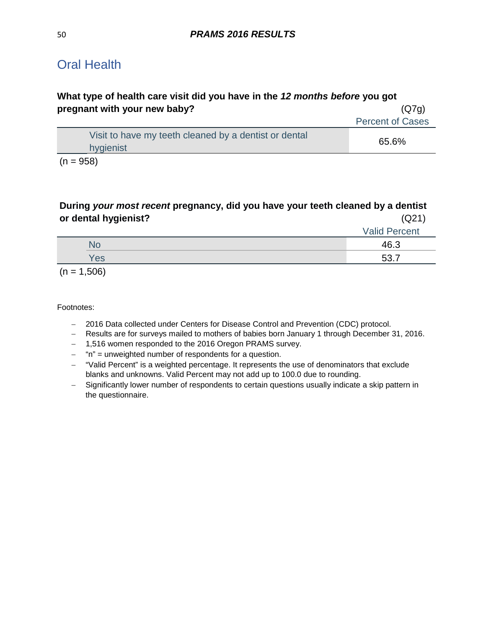# Oral Health

# **What type of health care visit did you have in the** *12 months before* **you got pregnant with your new baby?** (Q7g)

| Visit to have my teeth cleaned by a dentist or dental<br>65.6%<br>hygienist |  |
|-----------------------------------------------------------------------------|--|

 $(n = 958)$ 

### **During** *your most recent* **pregnancy, did you have your teeth cleaned by a dentist or dental hygienist?** (Q21)

| --  |                      |
|-----|----------------------|
|     | <b>Valid Percent</b> |
| Nd  | 46.3                 |
| Yes | 52.                  |
|     |                      |

 $(n = 1,506)$ 

- − 2016 Data collected under Centers for Disease Control and Prevention (CDC) protocol.
- − Results are for surveys mailed to mothers of babies born January 1 through December 31, 2016.
- − 1,516 women responded to the 2016 Oregon PRAMS survey.
- − "n" = unweighted number of respondents for a question.
- − "Valid Percent" is a weighted percentage. It represents the use of denominators that exclude blanks and unknowns. Valid Percent may not add up to 100.0 due to rounding.
- − Significantly lower number of respondents to certain questions usually indicate a skip pattern in the questionnaire.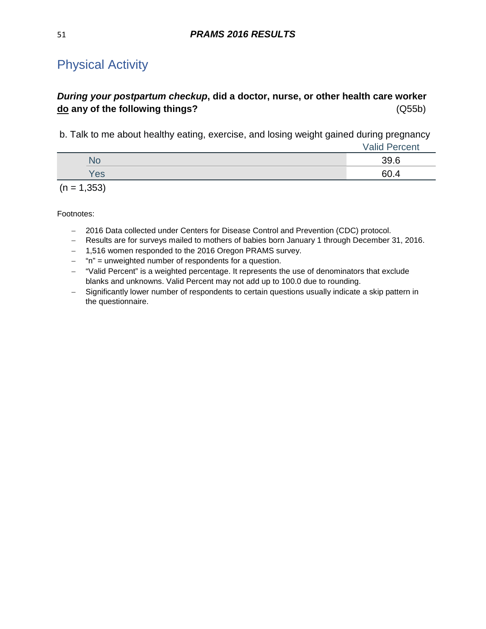# Physical Activity

# *During your postpartum checkup***, did a doctor, nurse, or other health care worker do any of the following things?** (Q55b)

b. Talk to me about healthy eating, exercise, and losing weight gained during pregnancy

|     | <b>Valid Percent</b> |
|-----|----------------------|
| No  | 39.6                 |
| Yes | 60.4                 |
|     |                      |

 $(n = 1,353)$ 

- − 2016 Data collected under Centers for Disease Control and Prevention (CDC) protocol.
- − Results are for surveys mailed to mothers of babies born January 1 through December 31, 2016.
- − 1,516 women responded to the 2016 Oregon PRAMS survey.
- − "n" = unweighted number of respondents for a question.
- − "Valid Percent" is a weighted percentage. It represents the use of denominators that exclude blanks and unknowns. Valid Percent may not add up to 100.0 due to rounding.
- − Significantly lower number of respondents to certain questions usually indicate a skip pattern in the questionnaire.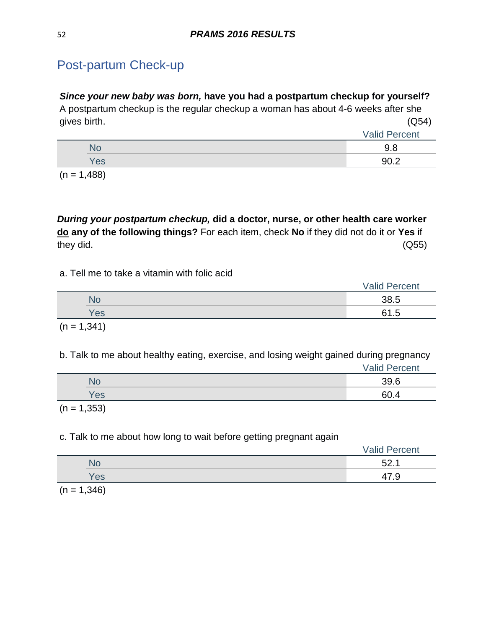# Post-partum Check-up

### *Since your new baby was born,* **have you had a postpartum checkup for yourself?**

A postpartum checkup is the regular checkup a woman has about 4-6 weeks after she gives birth. (Q54)

|      | <b>Valid Percent</b> |
|------|----------------------|
| .NO. | റ റ<br>v.v           |
| Yes  | an 2                 |

 $(n = 1,488)$ 

*During your postpartum checkup,* **did a doctor, nurse, or other health care worker do any of the following things?** For each item, check **No** if they did not do it or **Yes** if they did. (Q55)

a. Tell me to take a vitamin with folic acid

|     | <b>Valid Percent</b> |
|-----|----------------------|
|     | 38.5                 |
| Yes | -<br>∽<br>ں .        |
|     |                      |

$$
(n = 1,341)
$$

b. Talk to me about healthy eating, exercise, and losing weight gained during pregnancy Valid Percent

|     | Valla I VIVOIR |
|-----|----------------|
|     | $\sim$ $\sim$  |
| 'es |                |
|     |                |

 $(n = 1,353)$ 

### c. Talk to me about how long to wait before getting pregnant again

|     | <b>Valid Percent</b> |
|-----|----------------------|
|     | よつ                   |
| Yes | 47.9                 |

 $(n = 1,346)$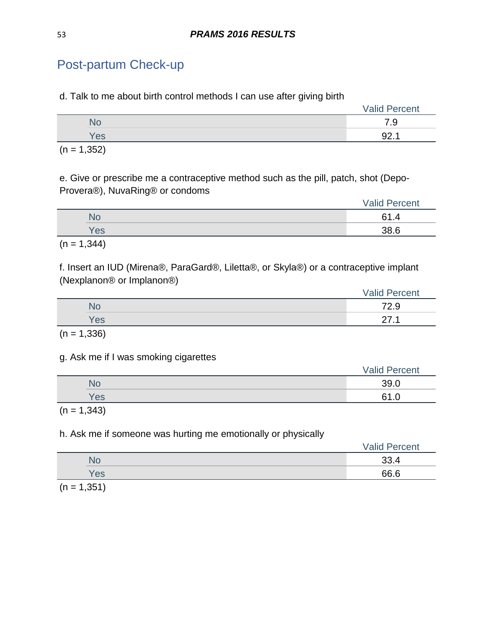# Post-partum Check-up

d. Talk to me about birth control methods I can use after giving birth

| $\sim$ $  \sim$ $\sim$<br>$\sim$ |     |                      |
|----------------------------------|-----|----------------------|
|                                  | Yes | ດາ<br><u>.</u>       |
|                                  | No  | 7.9                  |
|                                  |     | <b>Valid Percent</b> |

 $(n = 1,352)$ 

e. Give or prescribe me a contraceptive method such as the pill, patch, shot (Depo-Provera®), NuvaRing® or condoms

|        |                                    | <b>Valid Percent</b> |
|--------|------------------------------------|----------------------|
|        | No                                 | .4                   |
|        | Yes                                | 38.6                 |
| $\sim$ | $\sim$ $\sim$ $\sim$ $\sim$ $\sim$ |                      |

 $(n = 1,344)$ 

f. Insert an IUD (Mirena®, ParaGard®, Liletta®, or Skyla®) or a contraceptive implant (Nexplanon® or Implanon®)

|     | <b>Valid Percent</b> |
|-----|----------------------|
| No  | 72.9                 |
| Yes | ົ                    |
|     |                      |

 $(n = 1,336)$ 

#### g. Ask me if I was smoking cigarettes

|     | <b>Valid Percent</b> |
|-----|----------------------|
| No  | 39.0                 |
| Yes | -61<br>. ب           |
|     |                      |

 $(n = 1,343)$ 

h. Ask me if someone was hurting me emotionally or physically

|     | Valid<br>Percent |
|-----|------------------|
| ÑÕ  | ົ<br>JJ.4        |
| Yes | 66.6             |

 $(n = 1, 351)$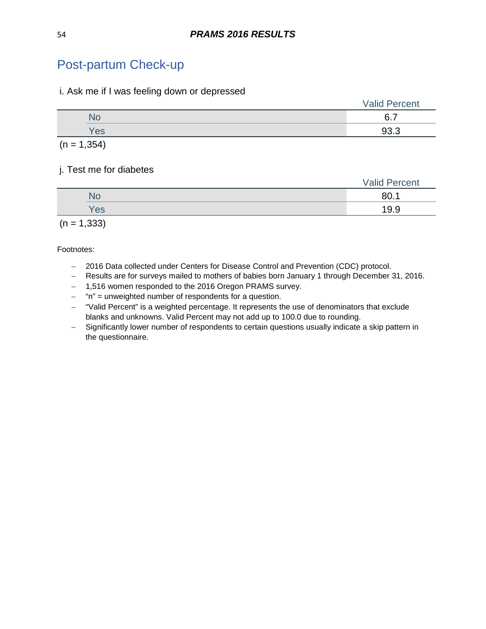# Post-partum Check-up

#### i. Ask me if I was feeling down or depressed

|     | <b>Valid Percent</b> |
|-----|----------------------|
|     | $\square$            |
| Yes | റാ ാ                 |
|     |                      |

 $(n = 1, 354)$ 

#### j. Test me for diabetes

|     | <b>Valid Percent</b> |
|-----|----------------------|
| No  | 80.1                 |
| Yes | 19.9                 |
|     |                      |

 $(n = 1,333)$ 

- − 2016 Data collected under Centers for Disease Control and Prevention (CDC) protocol.
- − Results are for surveys mailed to mothers of babies born January 1 through December 31, 2016.
- − 1,516 women responded to the 2016 Oregon PRAMS survey.
- − "n" = unweighted number of respondents for a question.
- − "Valid Percent" is a weighted percentage. It represents the use of denominators that exclude blanks and unknowns. Valid Percent may not add up to 100.0 due to rounding.
- − Significantly lower number of respondents to certain questions usually indicate a skip pattern in the questionnaire.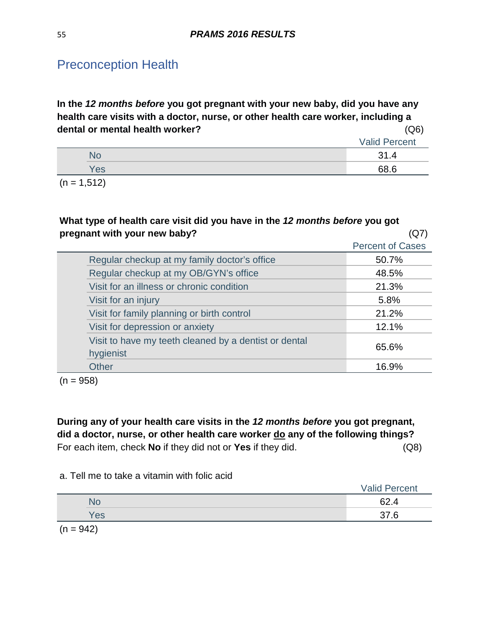**In the** *12 months before* **you got pregnant with your new baby, did you have any health care visits with a doctor, nurse, or other health care worker, including a dental or mental health worker?** (Q6)

|     | <b>Valid Percent</b> |
|-----|----------------------|
| NG. | 94<br>. . 4          |
| Yes | 68 R                 |
|     |                      |

 $(n = 1,512)$ 

### **What type of health care visit did you have in the** *12 months before* **you got pregnant with your new baby?** (Q7)

|                                                                    | <b>Percent of Cases</b> |
|--------------------------------------------------------------------|-------------------------|
| Regular checkup at my family doctor's office                       | 50.7%                   |
| Regular checkup at my OB/GYN's office                              | 48.5%                   |
| Visit for an illness or chronic condition                          | 21.3%                   |
| Visit for an injury                                                | 5.8%                    |
| Visit for family planning or birth control                         | 21.2%                   |
| Visit for depression or anxiety                                    | 12.1%                   |
| Visit to have my teeth cleaned by a dentist or dental<br>hygienist | 65.6%                   |
| <b>Other</b>                                                       | 16.9%                   |

 $(n = 958)$ 

**During any of your health care visits in the** *12 months before* **you got pregnant, did a doctor, nurse, or other health care worker do any of the following things?** For each item, check **No** if they did not or **Yes** if they did. (Q8)

#### a. Tell me to take a vitamin with folic acid

|             | <b>Valid Percent</b> |
|-------------|----------------------|
| No          | 62.4                 |
| Yes         | 37.6                 |
| $(n = 942)$ |                      |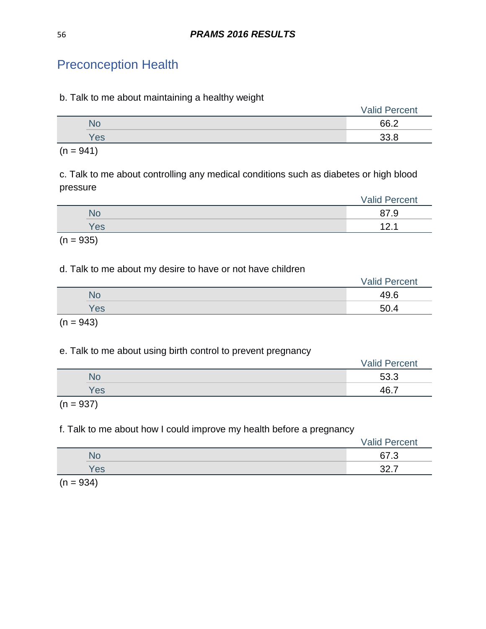#### b. Talk to me about maintaining a healthy weight

|     | <b>Valid Percent</b> |
|-----|----------------------|
| NC  | 66.2                 |
| Yes | ാറ ഠ                 |
|     |                      |

 $(n = 941)$ 

c. Talk to me about controlling any medical conditions such as diabetes or high blood pressure

|     | <b>Valid Percent</b> |
|-----|----------------------|
| NO  | 9.                   |
| Yes | <u>.</u>             |
|     |                      |

 $(n = 935)$ 

### d. Talk to me about my desire to have or not have children

|             | <b>Valid Percent</b> |
|-------------|----------------------|
| No          | 49.6                 |
| Yes         | 50.4                 |
| $(n = 943)$ |                      |

### e. Talk to me about using birth control to prevent pregnancy

|           | <b>Valid Percent</b> |
|-----------|----------------------|
| <b>No</b> | 53.3                 |
| Yes       | 46.7                 |
|           |                      |

 $(n = 937)$ 

# f. Talk to me about how I could improve my health before a pregnancy

|           | <b>Valid Percent</b>     |
|-----------|--------------------------|
| <b>No</b> | 67.3                     |
| Yes       | –<br>ົດດ<br><u> JL.I</u> |

 $(n = 934)$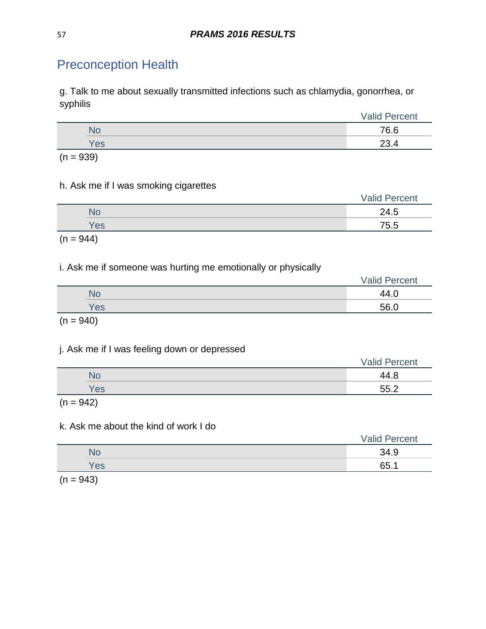g. Talk to me about sexually transmitted infections such as chlamydia, gonorrhea, or syphilis

|             | <b>Valid Percent</b> |
|-------------|----------------------|
| No          | 76.6                 |
| <b>Yes</b>  | 23.4                 |
| $(n = 939)$ |                      |

### h. Ask me if I was smoking cigarettes

|                                                                                                                 |     | <b>Valid Percent</b> |
|-----------------------------------------------------------------------------------------------------------------|-----|----------------------|
|                                                                                                                 | NС  | 24.5                 |
|                                                                                                                 | Yes | 75.5                 |
| the contract of the contract of the contract of the contract of the contract of the contract of the contract of |     |                      |

 $(n = 944)$ 

### i. Ask me if someone was hurting me emotionally or physically

|     | <b>Valid Percent</b> |
|-----|----------------------|
| No  | 44.C                 |
| Yes | 56.0                 |
|     |                      |

 $(n = 940)$ 

#### j. Ask me if I was feeling down or depressed

| 44.8<br>٧с<br>Yes |  | <b>Valid Percent</b> |
|-------------------|--|----------------------|
|                   |  |                      |
|                   |  | 55.2                 |

 $(n = 942)$ 

#### k. Ask me about the kind of work I do

|     | <b>Valid Percent</b> |
|-----|----------------------|
| Nd  | 34.9                 |
| Yes | 65.1                 |
|     |                      |

 $(n = 943)$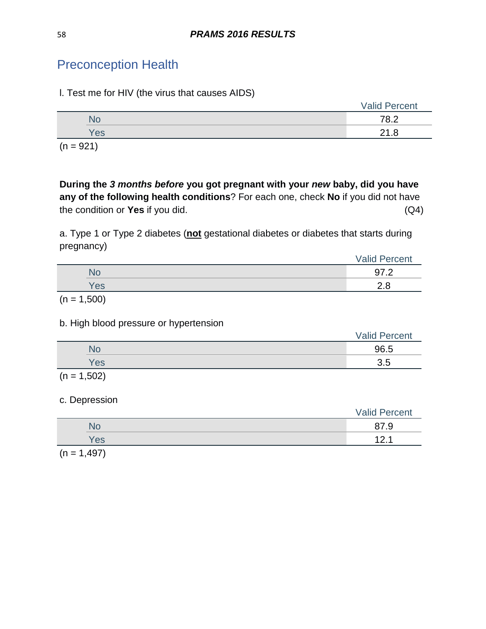| I. Test me for HIV (the virus that causes AIDS) |  |  |
|-------------------------------------------------|--|--|
|-------------------------------------------------|--|--|

|     | <b>Valid Percent</b> |
|-----|----------------------|
| Nd  | 78.2                 |
| Yes | 21.8                 |
|     |                      |

 $(n = 921)$ 

**During the** *3 months before* **you got pregnant with your** *new* **baby, did you have any of the following health conditions**? For each one, check **No** if you did not have the condition or **Yes** if you did. (Q4)

a. Type 1 or Type 2 diabetes (**not** gestational diabetes or diabetes that starts during pregnancy)

|     | <b>Valid Percent</b> |
|-----|----------------------|
| .O  | $\sim$               |
| Yes | ററ                   |
|     |                      |

 $(n = 1,500)$ 

### b. High blood pressure or hypertension

|               | <b>Valid Percent</b> |
|---------------|----------------------|
| N٥            | 96.5                 |
| Yes           | 3.5                  |
| $(n = 1,502)$ |                      |

# c. Depression

|                     | <b>Valid Percent</b> |
|---------------------|----------------------|
| ٧o                  | 87.9                 |
| Yes                 | 1つ<br><u>.</u>       |
| $\sqrt{1 - (10.7)}$ |                      |

 $(n = 1,497)$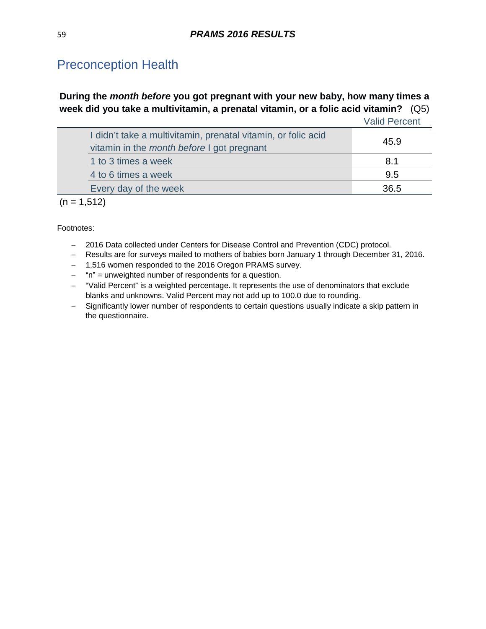# **During the** *month before* **you got pregnant with your new baby, how many times a week did you take a multivitamin, a prenatal vitamin, or a folic acid vitamin?** (Q5)

|                                                                                                                    | <b>Valid Percent</b> |
|--------------------------------------------------------------------------------------------------------------------|----------------------|
| I didn't take a multivitamin, prenatal vitamin, or folic acid<br>vitamin in the <i>month before</i> I got pregnant | 45.9                 |
| 1 to 3 times a week                                                                                                | 8.1                  |
| 4 to 6 times a week                                                                                                | 9.5                  |
| Every day of the week                                                                                              | 36.5                 |
|                                                                                                                    |                      |

 $(n = 1,512)$ 

- − 2016 Data collected under Centers for Disease Control and Prevention (CDC) protocol.
- − Results are for surveys mailed to mothers of babies born January 1 through December 31, 2016.
- − 1,516 women responded to the 2016 Oregon PRAMS survey.
- − "n" = unweighted number of respondents for a question.
- − "Valid Percent" is a weighted percentage. It represents the use of denominators that exclude blanks and unknowns. Valid Percent may not add up to 100.0 due to rounding.
- − Significantly lower number of respondents to certain questions usually indicate a skip pattern in the questionnaire.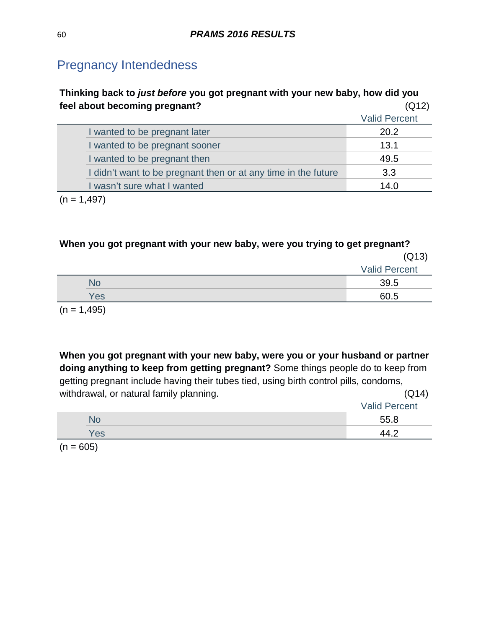# Pregnancy Intendedness

| Thinking back to just before you got pregnant with your new baby, how did you |                      |  |
|-------------------------------------------------------------------------------|----------------------|--|
| feel about becoming pregnant?                                                 | (Q12)                |  |
|                                                                               | <b>Valid Percent</b> |  |
| I wanted to be pregnant later                                                 | 20.2                 |  |
| I wanted to be pregnant sooner                                                | 13.1                 |  |
| I wanted to be pregnant then                                                  | 49.5                 |  |
| I didn't want to be pregnant then or at any time in the future                | 3.3                  |  |
| I wasn't sure what I wanted                                                   | 14.0                 |  |
| $\lambda$ $\sim$ $\sim$ $\lambda$                                             |                      |  |

 $(n = 1,497)$ 

# **When you got pregnant with your new baby, were you trying to get pregnant?**

|             | (Q13)                |
|-------------|----------------------|
|             | <b>Valid Percent</b> |
| No          | 39.5                 |
| <b>Yes</b>  | 60.5                 |
| $(n + 4AC)$ |                      |

 $(n = 1,495)$ 

**When you got pregnant with your new baby, were you or your husband or partner doing anything to keep from getting pregnant?** Some things people do to keep from getting pregnant include having their tubes tied, using birth control pills, condoms, withdrawal, or natural family planning. The same state of the state  $(Q14)$ 

|     | <b>Valid Percent</b> |
|-----|----------------------|
| ٩O  | 55.8                 |
| Yes |                      |

 $(n = 605)$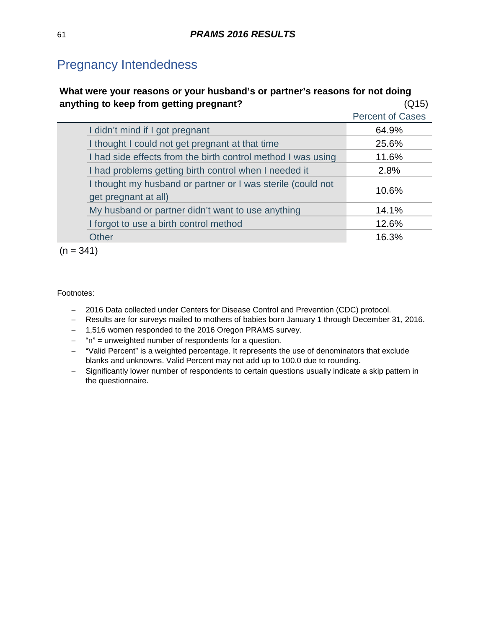# Pregnancy Intendedness

# **What were your reasons or your husband's or partner's reasons for not doing anything to keep from getting pregnant?** (Q15)

|                                                                                     | <b>Percent of Cases</b> |
|-------------------------------------------------------------------------------------|-------------------------|
| I didn't mind if I got pregnant                                                     | 64.9%                   |
| I thought I could not get pregnant at that time                                     | 25.6%                   |
| I had side effects from the birth control method I was using                        | 11.6%                   |
| I had problems getting birth control when I needed it                               | 2.8%                    |
| I thought my husband or partner or I was sterile (could not<br>get pregnant at all) | 10.6%                   |
| My husband or partner didn't want to use anything                                   | 14.1%                   |
| I forgot to use a birth control method                                              | 12.6%                   |
| Other                                                                               | 16.3%                   |

 $(n = 341)$ 

- − 2016 Data collected under Centers for Disease Control and Prevention (CDC) protocol.
- − Results are for surveys mailed to mothers of babies born January 1 through December 31, 2016.
- − 1,516 women responded to the 2016 Oregon PRAMS survey.
- − "n" = unweighted number of respondents for a question.
- − "Valid Percent" is a weighted percentage. It represents the use of denominators that exclude blanks and unknowns. Valid Percent may not add up to 100.0 due to rounding.
- − Significantly lower number of respondents to certain questions usually indicate a skip pattern in the questionnaire.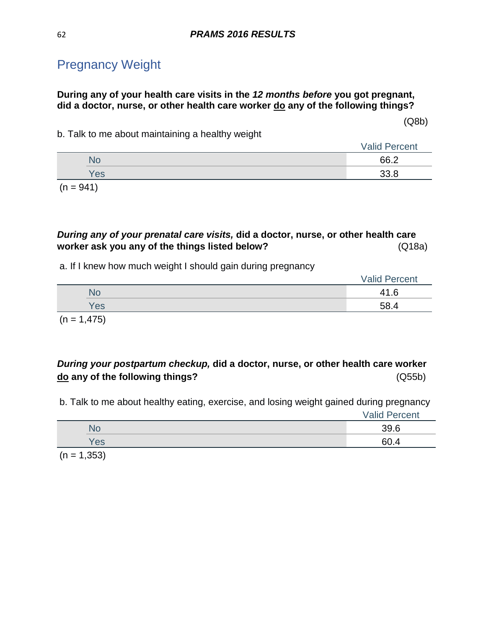# Pregnancy Weight

### **During any of your health care visits in the** *12 months before* **you got pregnant, did a doctor, nurse, or other health care worker do any of the following things?**

(Q8b)

b. Talk to me about maintaining a healthy weight

|     | <b>Valid Percent</b> |
|-----|----------------------|
| NO  | 66.2                 |
| Yes | ס כפ                 |

 $(n = 941)$ 

### *During any of your prenatal care visits,* **did a doctor, nurse, or other health care worker ask you any of the things listed below?** (Q18a)

a. If I knew how much weight I should gain during pregnancy

|  |     | <b>Valid Percent</b> |
|--|-----|----------------------|
|  | N٥  | 41.6                 |
|  | Yes | 58.4                 |

 $(n = 1,475)$ 

### *During your postpartum checkup,* **did a doctor, nurse, or other health care worker do any of the following things?** (Q55b)

b. Talk to me about healthy eating, exercise, and losing weight gained during pregnancy

|     | <b>Valid Percent</b> |
|-----|----------------------|
|     | 39.6                 |
| Yes | 60.                  |
|     |                      |

 $(n = 1,353)$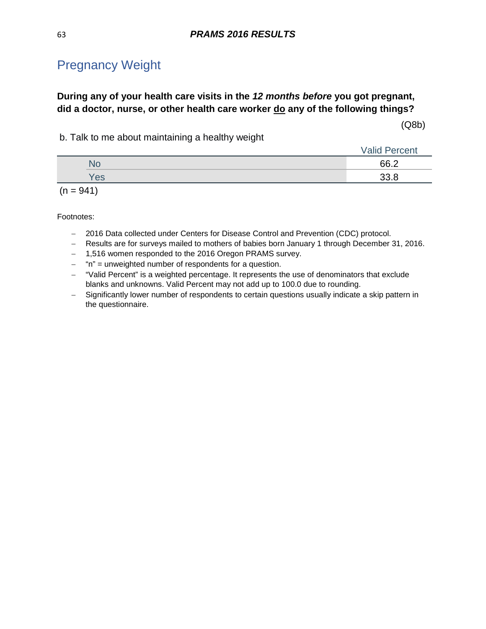# Pregnancy Weight

### **During any of your health care visits in the** *12 months before* **you got pregnant, did a doctor, nurse, or other health care worker do any of the following things?**

(Q8b)

b. Talk to me about maintaining a healthy weight

|  |            | <b>Valid Percent</b> |  |
|--|------------|----------------------|--|
|  | Ńс         | 66.2                 |  |
|  | <b>Yes</b> | ാറ ഠ                 |  |
|  |            |                      |  |

 $(n = 941)$ 

- − 2016 Data collected under Centers for Disease Control and Prevention (CDC) protocol.
- − Results are for surveys mailed to mothers of babies born January 1 through December 31, 2016.
- − 1,516 women responded to the 2016 Oregon PRAMS survey.
- − "n" = unweighted number of respondents for a question.
- − "Valid Percent" is a weighted percentage. It represents the use of denominators that exclude blanks and unknowns. Valid Percent may not add up to 100.0 due to rounding.
- − Significantly lower number of respondents to certain questions usually indicate a skip pattern in the questionnaire.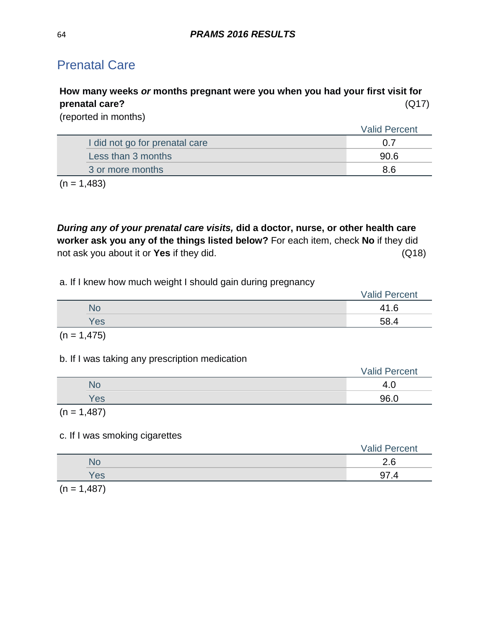# **How many weeks** *or* **months pregnant were you when you had your first visit for prenatal care?** (Q17)

(reported in months)

|                                | <b>Valid Percent</b> |
|--------------------------------|----------------------|
| I did not go for prenatal care |                      |
| Less than 3 months             | 90 R                 |
| 3 or more months               | 8 6                  |
|                                |                      |

 $(n = 1,483)$ 

*During any of your prenatal care visits,* **did a doctor, nurse, or other health care worker ask you any of the things listed below?** For each item, check **No** if they did not ask you about it or **Yes** if they did. (Q18)

### a. If I knew how much weight I should gain during pregnancy

|     | <b>Valid Percent</b> |  |
|-----|----------------------|--|
| No  | 6                    |  |
| Yes | 58.4                 |  |
|     |                      |  |

$$
(n = 1,475)
$$

### b. If I was taking any prescription medication

|                                                                                                                 |     | <b>Valid Percent</b> |
|-----------------------------------------------------------------------------------------------------------------|-----|----------------------|
|                                                                                                                 | NC  |                      |
|                                                                                                                 | Yes | 96.0                 |
| the contract of the contract of the contract of the contract of the contract of the contract of the contract of |     |                      |

 $(n = 1,487)$ 

# c. If I was smoking cigarettes

|                          |                                    | <b>Valid Percent</b> |
|--------------------------|------------------------------------|----------------------|
|                          | ٧С                                 | ~<br>c<br>ى.         |
|                          | Yes                                | דו                   |
| $\overline{\phantom{a}}$ | $\sim$ $\sim$ $\sim$ $\sim$ $\sim$ |                      |

 $(n = 1,487)$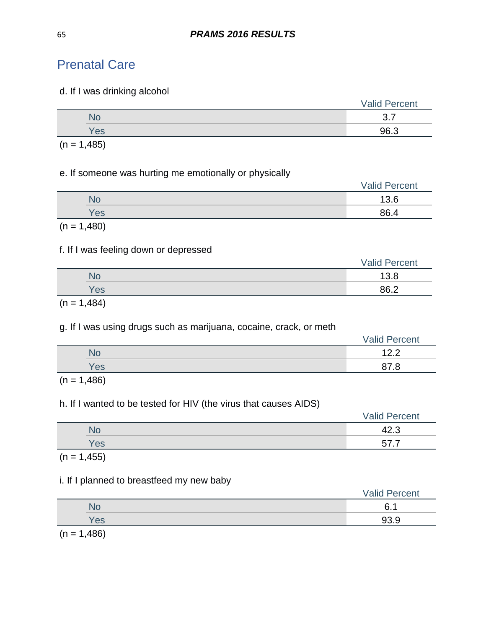#### d. If I was drinking alcohol

|        |          | <b>Valid Percent</b> |
|--------|----------|----------------------|
|        | No       | $\Omega$             |
|        | Yes      | 96.3                 |
| $\sim$ | $\cdots$ |                      |

 $(n = 1,485)$ 

#### e. If someone was hurting me emotionally or physically

|           | <b>Valid Percent</b> |
|-----------|----------------------|
| <b>No</b> | 13.6                 |
| Yes       | 86.4                 |
|           |                      |

 $(n = 1,480)$ 

### f. If I was feeling down or depressed

|     | <b>Valid Percent</b> |
|-----|----------------------|
| No  | 13.8                 |
| Yes | 86.2                 |

 $(n = 1,484)$ 

### g. If I was using drugs such as marijuana, cocaine, crack, or meth

|     | <b>Valid Percent</b> |
|-----|----------------------|
|     | ィっっ                  |
| Yes | 8.                   |

 $(n = 1,486)$ 

### h. If I wanted to be tested for HIV (the virus that causes AIDS)

|  |     | <b>Valid Percent</b> |
|--|-----|----------------------|
|  | No  | 42.3                 |
|  | Yes | --<br>.              |
|  |     |                      |

 $(n = 1, 455)$ 

### i. If I planned to breastfeed my new baby

|                                  | <b>Valid Percent</b> |
|----------------------------------|----------------------|
| No                               | 6<br>-4              |
| Yes                              | 93.9                 |
| $\overline{1}$<br>$\overline{ }$ |                      |

 $(n = 1,486)$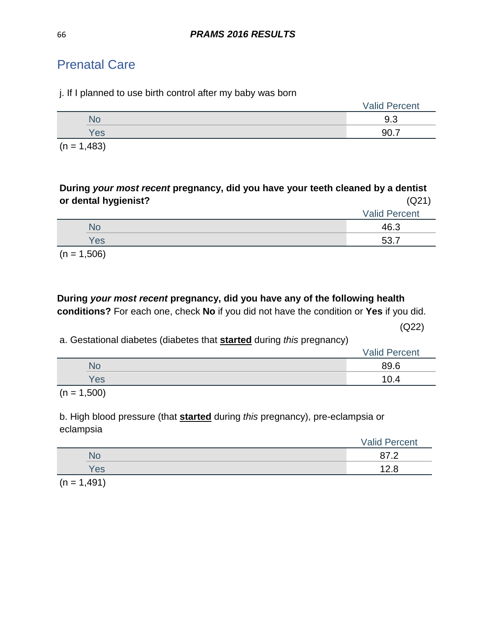|  | j. If I planned to use birth control after my baby was born |  |  |  |  |  |
|--|-------------------------------------------------------------|--|--|--|--|--|
|--|-------------------------------------------------------------|--|--|--|--|--|

|     | <b>Valid Percent</b> |
|-----|----------------------|
| .NU | 9.3                  |
| Yes | ിറ                   |
|     |                      |

 $(n = 1,483)$ 

| During your most recent pregnancy, did you have your teeth cleaned by a dentist |                      |
|---------------------------------------------------------------------------------|----------------------|
| or dental hygienist?                                                            | (Q21)                |
|                                                                                 | <b>Valid Percent</b> |
| <b>No</b>                                                                       | 46.3                 |
| Yes                                                                             | 53.7                 |
|                                                                                 |                      |

 $(n = 1,506)$ 

# **During** *your most recent* **pregnancy, did you have any of the following health**

**conditions?** For each one, check **No** if you did not have the condition or **Yes** if you did.

(Q22)

a. Gestational diabetes (diabetes that **started** during *this* pregnancy)

|     | <b>Valid Percent</b> |
|-----|----------------------|
| No  | 89.6                 |
| Yes | 0.4                  |
|     |                      |

 $(n = 1,500)$ 

b. High blood pressure (that **started** during *this* pregnancy), pre-eclampsia or eclampsia

|     | <b>Valid Percent</b> |  |
|-----|----------------------|--|
| No  |                      |  |
| Yes | 12.8                 |  |
|     |                      |  |

 $(n = 1,491)$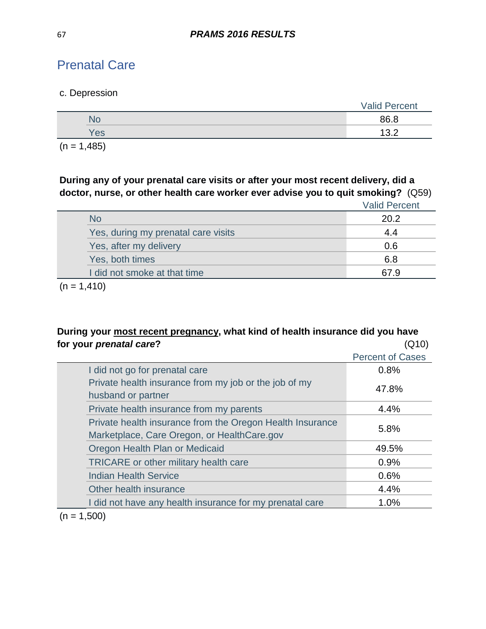### c. Depression

|                                                                                                                 | <b>Valid Percent</b> |
|-----------------------------------------------------------------------------------------------------------------|----------------------|
| No                                                                                                              | 86.8                 |
| Yes                                                                                                             | 13.2                 |
| the contract of the contract of the contract of the contract of the contract of the contract of the contract of |                      |

 $(n = 1,485)$ 

**During any of your prenatal care visits or after your most recent delivery, did a doctor, nurse, or other health care worker ever advise you to quit smoking?** (Q59)

|                                     | <b>Valid Percent</b> |
|-------------------------------------|----------------------|
| <b>No</b>                           | 20.2                 |
| Yes, during my prenatal care visits | 4.4                  |
| Yes, after my delivery              | 0.6                  |
| Yes, both times                     | 6.8                  |
| I did not smoke at that time        | 67.9                 |
|                                     |                      |

 $(n = 1, 410)$ 

### **During your most recent pregnancy, what kind of health insurance did you have for your** *prenatal care***?** (Q10)

|                                                                                                          | <b>Percent of Cases</b> |
|----------------------------------------------------------------------------------------------------------|-------------------------|
| I did not go for prenatal care                                                                           | 0.8%                    |
| Private health insurance from my job or the job of my<br>husband or partner                              | 47.8%                   |
| Private health insurance from my parents                                                                 | 4.4%                    |
| Private health insurance from the Oregon Health Insurance<br>Marketplace, Care Oregon, or HealthCare.gov | 5.8%                    |
| Oregon Health Plan or Medicaid                                                                           | 49.5%                   |
| <b>TRICARE</b> or other military health care                                                             | 0.9%                    |
| <b>Indian Health Service</b>                                                                             | 0.6%                    |
| Other health insurance                                                                                   | 4.4%                    |
| I did not have any health insurance for my prenatal care                                                 | 1.0%                    |
|                                                                                                          |                         |

 $(n = 1,500)$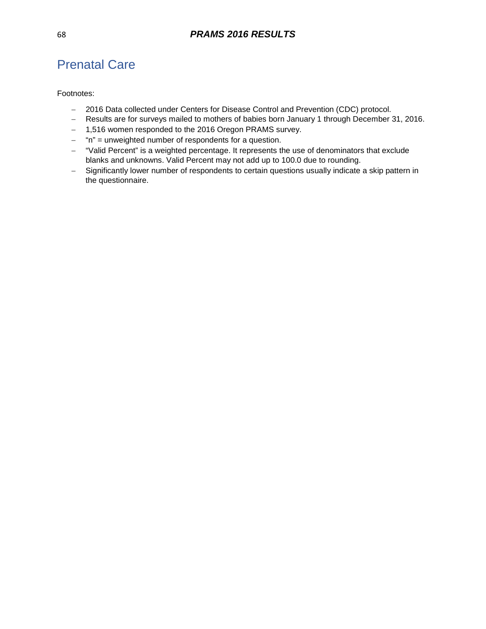- − 2016 Data collected under Centers for Disease Control and Prevention (CDC) protocol.
- − Results are for surveys mailed to mothers of babies born January 1 through December 31, 2016.
- − 1,516 women responded to the 2016 Oregon PRAMS survey.
- − "n" = unweighted number of respondents for a question.
- − "Valid Percent" is a weighted percentage. It represents the use of denominators that exclude blanks and unknowns. Valid Percent may not add up to 100.0 due to rounding.
- − Significantly lower number of respondents to certain questions usually indicate a skip pattern in the questionnaire.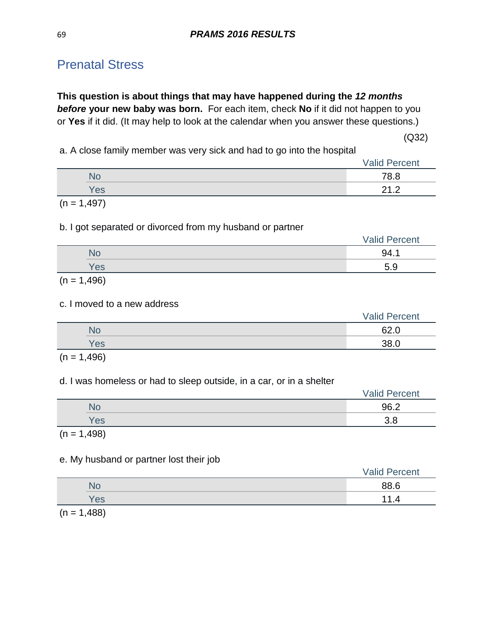# Prenatal Stress

**This question is about things that may have happened during the** *12 months before* **your new baby was born.** For each item, check **No** if it did not happen to you or **Yes** if it did. (It may help to look at the calendar when you answer these questions.)

 $(Q32)$ 

a. A close family member was very sick and had to go into the hospital

|           | <b>Valid Percent</b>        |
|-----------|-----------------------------|
| <b>No</b> | 78.8                        |
| Yes       | $\Omega$ $\Omega$<br>-<br>. |
|           |                             |

 $(n = 1,497)$ 

#### b. I got separated or divorced from my husband or partner

|     | <b>Valid Percent</b> |
|-----|----------------------|
|     | QΔ                   |
| Yes | £<br>ວ.ອ             |

 $(n = 1,496)$ 

#### c. I moved to a new address

|            | <b>Valid Percent</b> |
|------------|----------------------|
| No         | 62.0                 |
| <b>Yes</b> | 38.0                 |
|            |                      |

 $(n = 1,496)$ 

### d. I was homeless or had to sleep outside, in a car, or in a shelter

|     | <b>Valid Percent</b> |
|-----|----------------------|
| No  | 96.2                 |
| Yes | റ റ<br>ა.c           |

 $(n = 1,498)$ 

### e. My husband or partner lost their job

|     | <b>Valid Percent</b> |
|-----|----------------------|
| No  | 88.6                 |
| Yes | -11<br>- 4           |
|     |                      |

 $(n = 1,488)$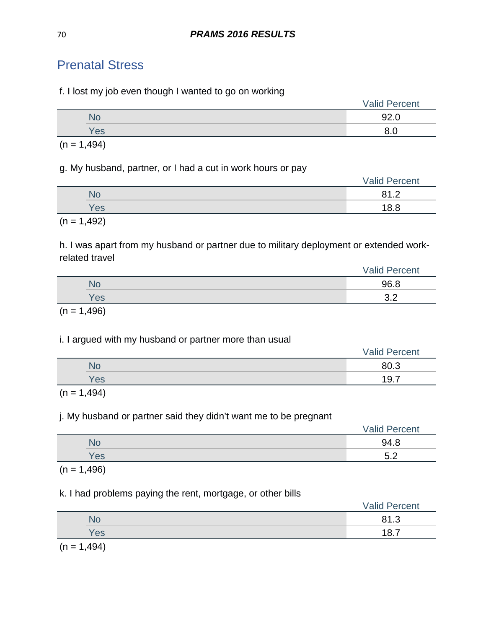# Prenatal Stress

f. I lost my job even though I wanted to go on working

|     | <b>Valid Percent</b> |
|-----|----------------------|
|     | nn.                  |
| Yes |                      |

 $(n = 1,494)$ 

g. My husband, partner, or I had a cut in work hours or pay

|            | <b>Valid Percent</b> |
|------------|----------------------|
| <b>No</b>  | 01 <sub>2</sub><br>. |
| <b>Yes</b> | 18.8                 |
|            |                      |

 $(n = 1,492)$ 

h. I was apart from my husband or partner due to military deployment or extended workrelated travel

|                         | <b>Valid Percent</b> |
|-------------------------|----------------------|
| NO                      | 96.8                 |
| Yes                     | $\Omega$<br>◡.∠      |
| $\sqrt{2}$ $\sqrt{400}$ |                      |

 $(n = 1,496)$ 

# i. I argued with my husband or partner more than usual

|     | <b>Valid Percent</b> |
|-----|----------------------|
|     | 80.3                 |
| Yes | 197<br>◡.            |
|     |                      |

 $(n = 1,494)$ 

# j. My husband or partner said they didn't want me to be pregnant

|     | <b>Valid Percent</b> |
|-----|----------------------|
| Nc  | 94 R                 |
| Yes | にっ<br>v.L            |
|     |                      |

 $(n = 1,496)$ 

# k. I had problems paying the rent, mortgage, or other bills

|            |                                                                            | <b>Valid Percent</b> |
|------------|----------------------------------------------------------------------------|----------------------|
|            | No                                                                         | 81.3                 |
|            | Yes                                                                        | 197<br>.             |
| $\sqrt{2}$ | $\overline{A}$ $\overline{A}$ $\overline{A}$ $\overline{A}$ $\overline{A}$ |                      |

 $(n = 1,494)$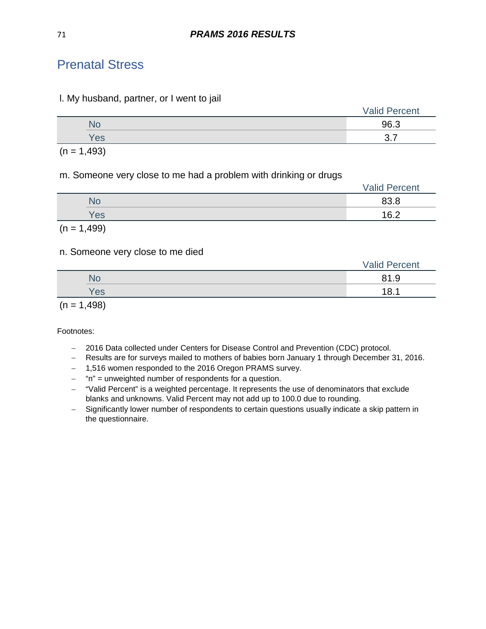# Prenatal Stress

#### l. My husband, partner, or I went to jail

|           | <b>Valid Percent</b>      |
|-----------|---------------------------|
| <b>No</b> | 96.3                      |
| Yes       | $\sim$ $\rightarrow$<br>ີ |
|           |                           |

 $(n = 1,493)$ 

m. Someone very close to me had a problem with drinking or drugs

|               | <b>Valid Percent</b> |
|---------------|----------------------|
| <b>No</b>     | 83.8                 |
| <b>Yes</b>    | 16.2                 |
| $(n = 1,499)$ |                      |

# n. Someone very close to me died

|           | <b>Valid Percent</b> |
|-----------|----------------------|
| <b>No</b> | 81.9                 |
| Yes       | 18.1                 |
|           |                      |

 $(n = 1,498)$ 

- − 2016 Data collected under Centers for Disease Control and Prevention (CDC) protocol.
- − Results are for surveys mailed to mothers of babies born January 1 through December 31, 2016.
- − 1,516 women responded to the 2016 Oregon PRAMS survey.
- − "n" = unweighted number of respondents for a question.
- − "Valid Percent" is a weighted percentage. It represents the use of denominators that exclude blanks and unknowns. Valid Percent may not add up to 100.0 due to rounding.
- − Significantly lower number of respondents to certain questions usually indicate a skip pattern in the questionnaire.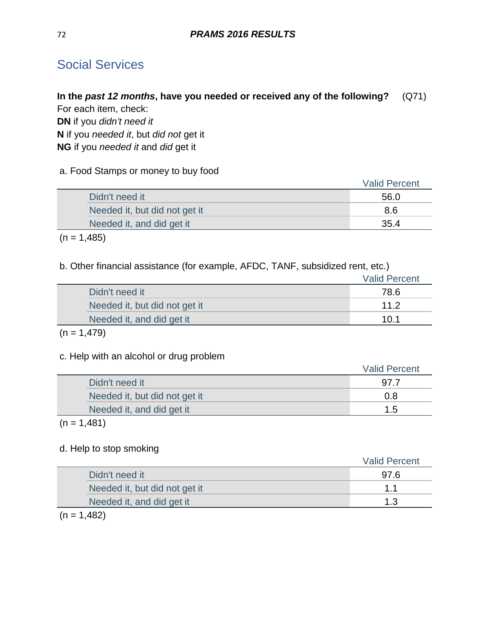# Social Services

### **In the** *past 12 months***, have you needed or received any of the following?** (Q71) For each item, check:

**DN** if you *didn't need it* **N** if you *needed it*, but *did not* get it **NG** if you *needed it* and *did* get it

### a. Food Stamps or money to buy food

|                               | <b>Valid Percent</b> |
|-------------------------------|----------------------|
| Didn't need it                | 56.0                 |
| Needed it, but did not get it | 8.6                  |
| Needed it, and did get it     | 35.4                 |

 $(n = 1,485)$ 

#### b. Other financial assistance (for example, AFDC, TANF, subsidized rent, etc.)

|                               | <b>Valid Percent</b> |
|-------------------------------|----------------------|
| Didn't need it                | 78.6                 |
| Needed it, but did not get it | 11.2                 |
| Needed it, and did get it     | 10.1                 |

### $(n = 1,479)$

### c. Help with an alcohol or drug problem

|                               | <b>Valid Percent</b> |
|-------------------------------|----------------------|
| Didn't need it                | 97.7                 |
| Needed it, but did not get it | 0.8                  |
| Needed it, and did get it     | 1.5                  |

### $(n = 1,481)$

### d. Help to stop smoking

|                               | <b>Valid Percent</b> |
|-------------------------------|----------------------|
| Didn't need it                | 97.6                 |
| Needed it, but did not get it | 11                   |
| Needed it, and did get it     | 1.3                  |
|                               |                      |

#### $(n = 1,482)$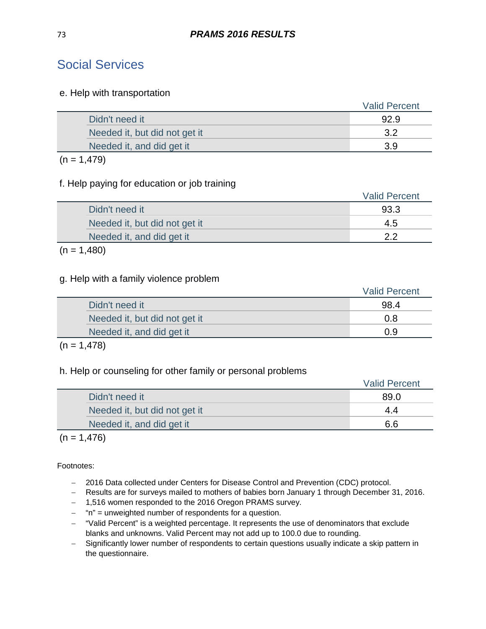## Social Services

#### e. Help with transportation

|                               | <b>Valid Percent</b> |
|-------------------------------|----------------------|
| Didn't need it                | 92.9                 |
| Needed it, but did not get it | っっ                   |
| Needed it, and did get it     | 3.9                  |
|                               |                      |

#### $(n = 1,479)$

### f. Help paying for education or job training

|                               | <b>Valid Percent</b> |
|-------------------------------|----------------------|
| Didn't need it                | 93.3                 |
| Needed it, but did not get it | 4.5                  |
| Needed it, and did get it     | າ າ                  |
|                               |                      |

#### $(n = 1,480)$

### g. Help with a family violence problem

|                               | <b>Valid Percent</b> |
|-------------------------------|----------------------|
| Didn't need it                | 98.4                 |
| Needed it, but did not get it | 0.8                  |
| Needed it, and did get it     | 0.9                  |
|                               |                      |

#### $(n = 1,478)$

#### h. Help or counseling for other family or personal problems

|                               | <b>Valid Percent</b> |
|-------------------------------|----------------------|
| Didn't need it                | 89.0                 |
| Needed it, but did not get it | 4.4                  |
| Needed it, and did get it     | 6.6                  |

### $(n = 1,476)$

Footnotes:

- − 2016 Data collected under Centers for Disease Control and Prevention (CDC) protocol.
- − Results are for surveys mailed to mothers of babies born January 1 through December 31, 2016.
- − 1,516 women responded to the 2016 Oregon PRAMS survey.
- − "n" = unweighted number of respondents for a question.
- − "Valid Percent" is a weighted percentage. It represents the use of denominators that exclude blanks and unknowns. Valid Percent may not add up to 100.0 due to rounding.
- − Significantly lower number of respondents to certain questions usually indicate a skip pattern in the questionnaire.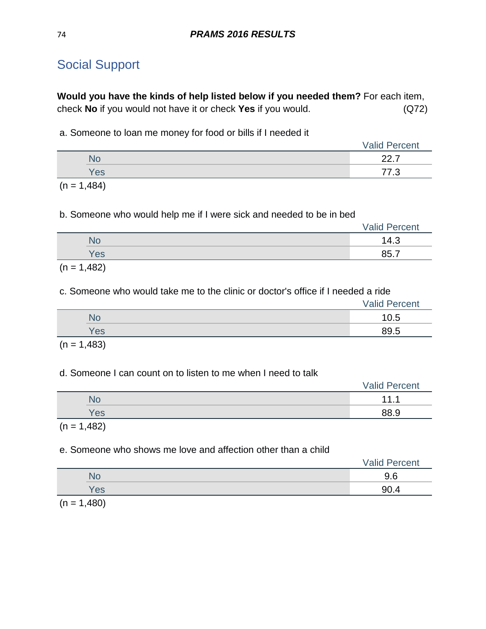# Social Support

**Would you have the kinds of help listed below if you needed them?** For each item, check **No** if you would not have it or check **Yes** if you would. (Q72)

a. Someone to loan me money for food or bills if I needed it

|                                                                                                                 | <b>Valid Percent</b>   |
|-----------------------------------------------------------------------------------------------------------------|------------------------|
|                                                                                                                 | $\sim$ $\sim$<br>---   |
| Yes                                                                                                             | ララ<br>$\sqrt{2}$<br>ں. |
| the contract of the contract of the contract of the contract of the contract of the contract of the contract of |                        |

 $(n = 1,484)$ 

b. Someone who would help me if I were sick and needed to be in bed

|                                                                                                                 |     | <b>Valid Percent</b> |
|-----------------------------------------------------------------------------------------------------------------|-----|----------------------|
|                                                                                                                 | N٥  | 14.3                 |
|                                                                                                                 | Yes | 85.7                 |
| the contract of the contract of the contract of the contract of the contract of the contract of the contract of |     |                      |

 $(n = 1,482)$ 

c. Someone who would take me to the clinic or doctor's office if I needed a ride

|     | <b>Valid Percent</b> |
|-----|----------------------|
| NС  | 10.5                 |
| Yes | 89.5                 |

 $(n = 1,483)$ 

#### d. Someone I can count on to listen to me when I need to talk

|               | <b>Valid Percent</b> |
|---------------|----------------------|
| <b>No</b>     | 111                  |
| Yes           | 88.9                 |
| $(n = 1,482)$ |                      |

#### e. Someone who shows me love and affection other than a child

|     | <b>Valid Percent</b> |
|-----|----------------------|
| NU  | 9.6                  |
| Yes | 90.4                 |
|     |                      |

 $(n = 1,480)$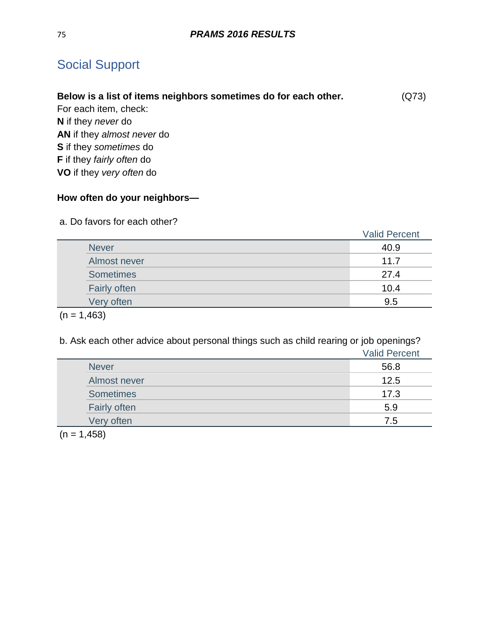# Social Support

| Below is a list of items neighbors sometimes do for each other. | (Q73) |
|-----------------------------------------------------------------|-------|
| For each item, check:                                           |       |
| <b>N</b> if they <i>never</i> do                                |       |
| <b>AN</b> if they almost never do                               |       |
| <b>S</b> if they sometimes do                                   |       |

**F** if they *fairly often* do

**VO** if they *very often* do

## **How often do your neighbors—**

a. Do favors for each other?

|                     | <b>Valid Percent</b> |
|---------------------|----------------------|
| <b>Never</b>        | 40.9                 |
| Almost never        | 11.7                 |
| <b>Sometimes</b>    | 27.4                 |
| <b>Fairly often</b> | 10.4                 |
| Very often          | 9.5                  |

 $(n = 1,463)$ 

b. Ask each other advice about personal things such as child rearing or job openings?

|                  | <b>Valid Percent</b> |
|------------------|----------------------|
| <b>Never</b>     | 56.8                 |
| Almost never     | 12.5                 |
| <b>Sometimes</b> | 17.3                 |
| Fairly often     | 5.9                  |
| Very often       | 7.5                  |

 $(n = 1,458)$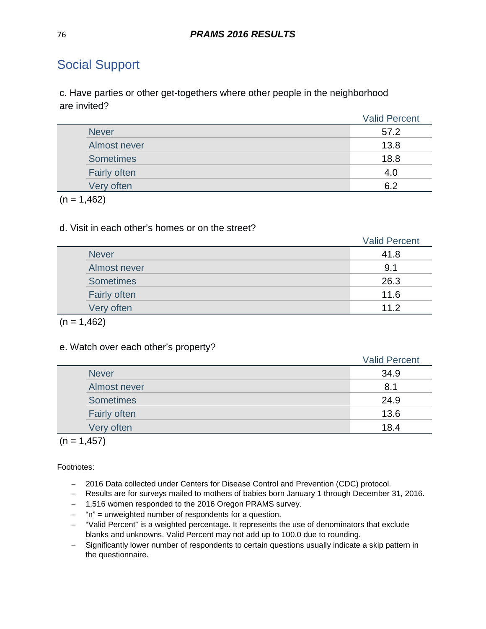# Social Support

c. Have parties or other get-togethers where other people in the neighborhood are invited?

|  |                     | <b>Valid Percent</b> |
|--|---------------------|----------------------|
|  | <b>Never</b>        | 57.2                 |
|  | Almost never        | 13.8                 |
|  | <b>Sometimes</b>    | 18.8                 |
|  | <b>Fairly often</b> | 4.0                  |
|  | Very often          | 6.2                  |

 $(n = 1,462)$ 

#### d. Visit in each other's homes or on the street?

|                     | <b>Valid Percent</b> |
|---------------------|----------------------|
| <b>Never</b>        | 41.8                 |
| Almost never        | 9.1                  |
| <b>Sometimes</b>    | 26.3                 |
| <b>Fairly often</b> | 11.6                 |
| Very often          | 11.2                 |

 $(n = 1,462)$ 

#### e. Watch over each other's property?

|                  | <b>Valid Percent</b> |
|------------------|----------------------|
| <b>Never</b>     | 34.9                 |
| Almost never     | 8.1                  |
| <b>Sometimes</b> | 24.9                 |
| Fairly often     | 13.6                 |
| Very often       | 18.4                 |

 $(n = 1, 457)$ 

Footnotes:

- − 2016 Data collected under Centers for Disease Control and Prevention (CDC) protocol.
- − Results are for surveys mailed to mothers of babies born January 1 through December 31, 2016.
- − 1,516 women responded to the 2016 Oregon PRAMS survey.
- − "n" = unweighted number of respondents for a question.
- − "Valid Percent" is a weighted percentage. It represents the use of denominators that exclude blanks and unknowns. Valid Percent may not add up to 100.0 due to rounding.
- − Significantly lower number of respondents to certain questions usually indicate a skip pattern in the questionnaire.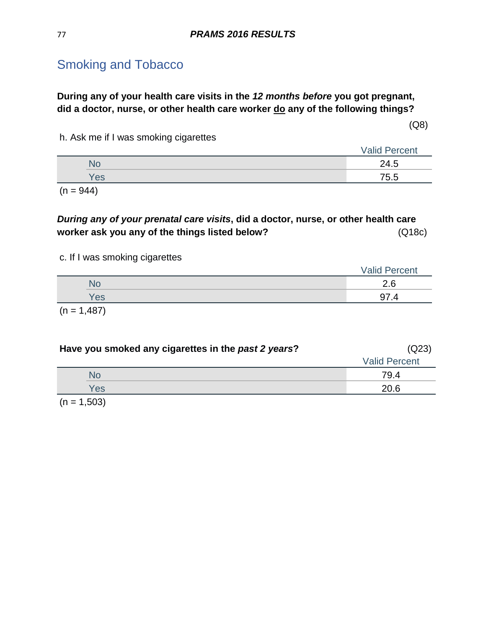**During any of your health care visits in the** *12 months before* **you got pregnant, did a doctor, nurse, or other health care worker do any of the following things?** 

(Q8)

h. Ask me if I was smoking cigarettes

|     | <b>Valid Percent</b> |
|-----|----------------------|
|     | 24.5                 |
| Yes | 75.5                 |
|     |                      |

 $(n = 944)$ 

*During any of your prenatal care visits***, did a doctor, nurse, or other health care worker ask you any of the things listed below?** (Q18c)

#### c. If I was smoking cigarettes

| __            | <b>Valid Percent</b> |
|---------------|----------------------|
| No            | 2.6                  |
| Yes           | 97 4                 |
| $(n = 1,487)$ |                      |

| Have you smoked any cigarettes in the past 2 years? | (Q23)                |  |
|-----------------------------------------------------|----------------------|--|
|                                                     | <b>Valid Percent</b> |  |
| No                                                  | 79.4                 |  |
| Yes                                                 | 20.6                 |  |
| $\sim$ $\sim$ $\sim$ $\sim$                         |                      |  |

 $(n = 1,503)$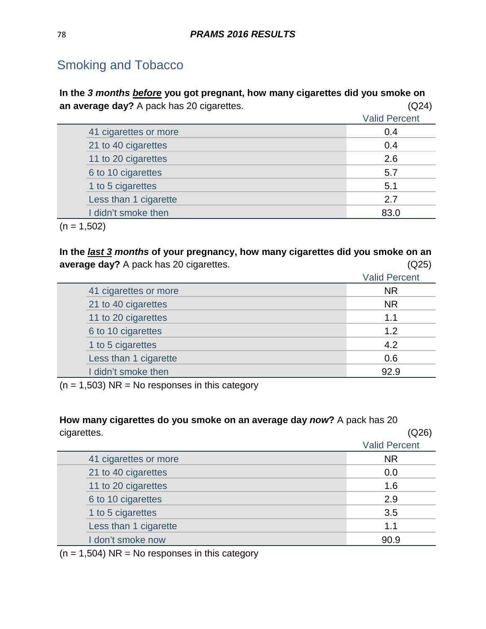**In the** *3 months before* **you got pregnant, how many cigarettes did you smoke on an average day?** A pack has 20 cigarettes. (Q24)

|                       | <b>Valid Percent</b> |
|-----------------------|----------------------|
| 41 cigarettes or more | 0.4                  |
| 21 to 40 cigarettes   | 0.4                  |
| 11 to 20 cigarettes   | 2.6                  |
| 6 to 10 cigarettes    | 5.7                  |
| 1 to 5 cigarettes     | 5.1                  |
| Less than 1 cigarette | 2.7                  |
| I didn't smoke then   | 83 N                 |

 $(n = 1,502)$ 

**In the** *last 3 months* **of your pregnancy, how many cigarettes did you smoke on an average day?** A pack has 20 cigarettes. (Q25)

|                       | <b>Valid Percent</b> |
|-----------------------|----------------------|
| 41 cigarettes or more | <b>NR</b>            |
| 21 to 40 cigarettes   | <b>NR</b>            |
| 11 to 20 cigarettes   | 1.1                  |
| 6 to 10 cigarettes    | 1.2                  |
| 1 to 5 cigarettes     | 4.2                  |
| Less than 1 cigarette | 0.6                  |
| I didn't smoke then   | 92.9                 |

 $(n = 1,503)$  NR = No responses in this category

**How many cigarettes do you smoke on an average day** *now***?** A pack has 20 cigarettes. (Q26) Valid Percent 41 cigarettes or more NR

| 41 digarettes or more | NΚ   |
|-----------------------|------|
| 21 to 40 cigarettes   | 0.0  |
| 11 to 20 cigarettes   | 1.6  |
| 6 to 10 cigarettes    | 2.9  |
| 1 to 5 cigarettes     | 3.5  |
| Less than 1 cigarette | 1.1  |
| I don't smoke now     | 90.9 |

 $(n = 1,504)$  NR = No responses in this category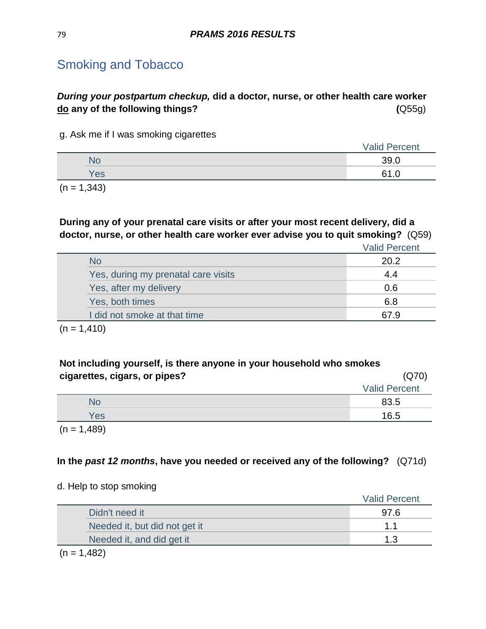## *During your postpartum checkup,* **did a doctor, nurse, or other health care worker do any of the following things? (**Q55g)

g. Ask me if I was smoking cigarettes

|               |                                    | <b>Valid Percent</b> |  |
|---------------|------------------------------------|----------------------|--|
|               |                                    | 39.0                 |  |
|               | Yes                                | 61                   |  |
| $\sim$ $\sim$ | $\sim$ $\sim$ $\sim$ $\sim$ $\sim$ |                      |  |

 $(n = 1,343)$ 

**During any of your prenatal care visits or after your most recent delivery, did a doctor, nurse, or other health care worker ever advise you to quit smoking?** (Q59)

Valid Percent

| <b>No</b>                           | 20.2 |
|-------------------------------------|------|
| Yes, during my prenatal care visits | 44   |
| Yes, after my delivery              | 0.6  |
| Yes, both times                     | 6.8  |
| I did not smoke at that time        | 67 Q |

 $(n = 1,410)$ 

| Not including yourself, is there anyone in your household who smokes |                      |  |
|----------------------------------------------------------------------|----------------------|--|
| cigarettes, cigars, or pipes?                                        | (Q70)                |  |
|                                                                      | <b>Valid Percent</b> |  |
| <b>No</b>                                                            | 83.5                 |  |
| Yes                                                                  | 16.5                 |  |

 $(n = 1,489)$ 

### **In the** *past 12 months***, have you needed or received any of the following?** (Q71d)

#### d. Help to stop smoking

|                               | <b>Valid Percent</b> |
|-------------------------------|----------------------|
| Didn't need it                | 97.6                 |
| Needed it, but did not get it | $1 \; 1$             |
| Needed it, and did get it     | 1 ?                  |

 $(n = 1,482)$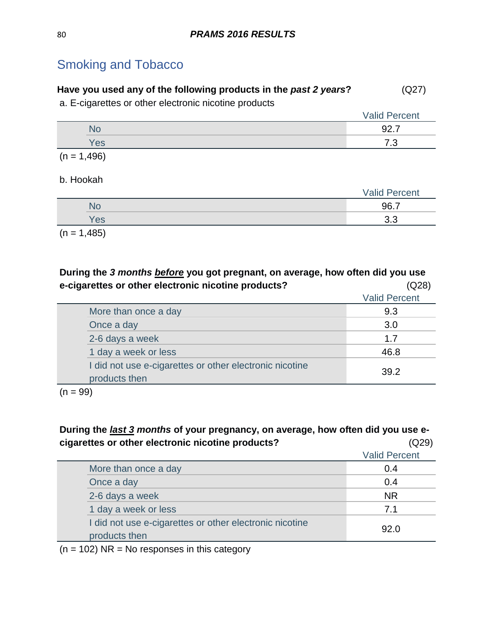|  |  | Have you used any of the following products in the past 2 years? | (Q27) |
|--|--|------------------------------------------------------------------|-------|
|--|--|------------------------------------------------------------------|-------|

a. E-cigarettes or other electronic nicotine products

|     | <b>Valid Percent</b> |
|-----|----------------------|
| No  | 92.<br>-<br>، ے ت    |
| Yes | ⇁ ⌒<br>. - ب         |

 $(n = 1,496)$ 

#### b. Hookah

|     | <b>Valid Percent</b> |  |
|-----|----------------------|--|
|     | 96.7                 |  |
| Yes | ົດ ລ<br>ິ∿.          |  |
|     |                      |  |

 $(n = 1,485)$ 

**During the** *3 months before* **you got pregnant, on average, how often did you use e-cigarettes or other electronic nicotine products?** (Q28)

|                                                                          | <b>Valid Percent</b> |
|--------------------------------------------------------------------------|----------------------|
| More than once a day                                                     | 9.3                  |
| Once a day                                                               | 3.0                  |
| 2-6 days a week                                                          | 17                   |
| 1 day a week or less                                                     | 46.8                 |
| I did not use e-cigarettes or other electronic nicotine<br>products then | 39.2                 |

 $(n = 99)$ 

#### **During the** *last 3 months* **of your pregnancy, on average, how often did you use ecigarettes or other electronic nicotine products?** (Q29)

| <u>, andar anno ar amnar anno man mnasamna hrannanno n</u>               | $-$                  |
|--------------------------------------------------------------------------|----------------------|
|                                                                          | <b>Valid Percent</b> |
| More than once a day                                                     | 0.4                  |
| Once a day                                                               | 0.4                  |
| 2-6 days a week                                                          | <b>NR</b>            |
| 1 day a week or less                                                     | 7.1                  |
| I did not use e-cigarettes or other electronic nicotine<br>products then | 92.0                 |

 $(n = 102)$  NR = No responses in this category